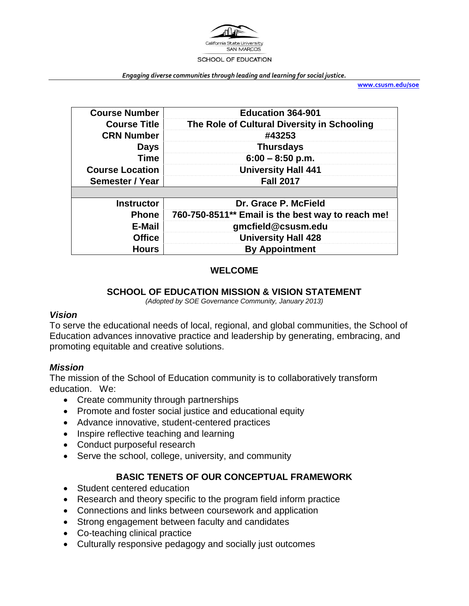

*Engaging diverse communities through leading and learning for social justice.*

**[www.csusm.edu/soe](http://www.csusm.edu/soe)**

| <b>Course Number</b>   | <b>Education 364-901</b>                          |
|------------------------|---------------------------------------------------|
| <b>Course Title</b>    | The Role of Cultural Diversity in Schooling       |
| <b>CRN Number</b>      | #43253                                            |
| <b>Days</b>            | <b>Thursdays</b>                                  |
| Time                   | $6:00 - 8:50$ p.m.                                |
| <b>Course Location</b> | <b>University Hall 441</b>                        |
| Semester / Year        | <b>Fall 2017</b>                                  |
|                        |                                                   |
| <b>Instructor</b>      | Dr. Grace P. McField                              |
| <b>Phone</b>           | 760-750-8511** Email is the best way to reach me! |
| <b>E-Mail</b>          | gmcfield@csusm.edu                                |
| <b>Office</b>          | <b>University Hall 428</b>                        |
| <b>Hours</b>           | <b>By Appointment</b>                             |

#### **WELCOME**

#### **SCHOOL OF EDUCATION MISSION & VISION STATEMENT**

*(Adopted by SOE Governance Community, January 2013)*

#### *Vision*

To serve the educational needs of local, regional, and global communities, the School of Education advances innovative practice and leadership by generating, embracing, and promoting equitable and creative solutions.

#### *Mission*

The mission of the School of Education community is to collaboratively transform education. We:

- Create community through partnerships
- Promote and foster social justice and educational equity
- Advance innovative, student-centered practices
- Inspire reflective teaching and learning
- Conduct purposeful research
- Serve the school, college, university, and community

#### **BASIC TENETS OF OUR CONCEPTUAL FRAMEWORK**

- Student centered education
- Research and theory specific to the program field inform practice
- Connections and links between coursework and application
- Strong engagement between faculty and candidates
- Co-teaching clinical practice
- Culturally responsive pedagogy and socially just outcomes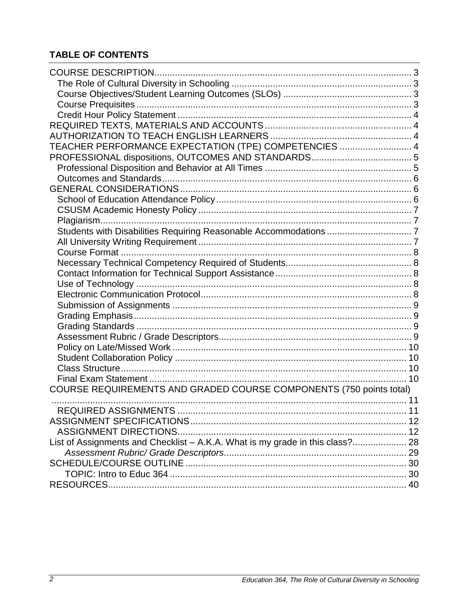## **TABLE OF CONTENTS**

| TEACHER PERFORMANCE EXPECTATION (TPE) COMPETENCIES  4                         |  |
|-------------------------------------------------------------------------------|--|
|                                                                               |  |
|                                                                               |  |
|                                                                               |  |
|                                                                               |  |
|                                                                               |  |
|                                                                               |  |
|                                                                               |  |
|                                                                               |  |
|                                                                               |  |
|                                                                               |  |
|                                                                               |  |
|                                                                               |  |
|                                                                               |  |
|                                                                               |  |
|                                                                               |  |
|                                                                               |  |
|                                                                               |  |
|                                                                               |  |
|                                                                               |  |
|                                                                               |  |
|                                                                               |  |
|                                                                               |  |
| COURSE REQUIREMENTS AND GRADED COURSE COMPONENTS (750 points total)           |  |
|                                                                               |  |
|                                                                               |  |
|                                                                               |  |
|                                                                               |  |
| List of Assignments and Checklist - A.K.A. What is my grade in this class? 28 |  |
|                                                                               |  |
|                                                                               |  |
|                                                                               |  |
|                                                                               |  |
|                                                                               |  |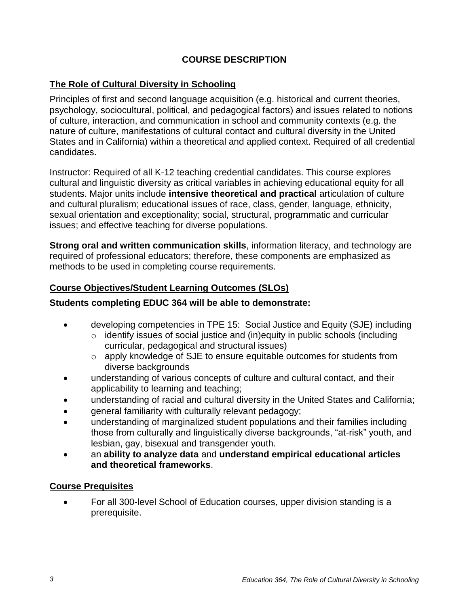### **COURSE DESCRIPTION**

### <span id="page-2-1"></span><span id="page-2-0"></span>**The Role of Cultural Diversity in Schooling**

Principles of first and second language acquisition (e.g. historical and current theories, psychology, sociocultural, political, and pedagogical factors) and issues related to notions of culture, interaction, and communication in school and community contexts (e.g. the nature of culture, manifestations of cultural contact and cultural diversity in the United States and in California) within a theoretical and applied context. Required of all credential candidates.

Instructor: Required of all K-12 teaching credential candidates. This course explores cultural and linguistic diversity as critical variables in achieving educational equity for all students. Major units include **intensive theoretical and practical** articulation of culture and cultural pluralism; educational issues of race, class, gender, language, ethnicity, sexual orientation and exceptionality; social, structural, programmatic and curricular issues; and effective teaching for diverse populations.

**Strong oral and written communication skills**, information literacy, and technology are required of professional educators; therefore, these components are emphasized as methods to be used in completing course requirements.

#### <span id="page-2-2"></span>**Course Objectives/Student Learning Outcomes (SLOs)**

#### **Students completing EDUC 364 will be able to demonstrate:**

- developing competencies in TPE 15: Social Justice and Equity (SJE) including
	- $\circ$  identify issues of social justice and (in)equity in public schools (including curricular, pedagogical and structural issues)
	- o apply knowledge of SJE to ensure equitable outcomes for students from diverse backgrounds
- understanding of various concepts of culture and cultural contact, and their applicability to learning and teaching;
- understanding of racial and cultural diversity in the United States and California;
- general familiarity with culturally relevant pedagogy;
- understanding of marginalized student populations and their families including those from culturally and linguistically diverse backgrounds, "at-risk" youth, and lesbian, gay, bisexual and transgender youth.
- an **ability to analyze data** and **understand empirical educational articles and theoretical frameworks**.

#### <span id="page-2-3"></span>**Course Prequisites**

 For all 300-level School of Education courses, upper division standing is a prerequisite.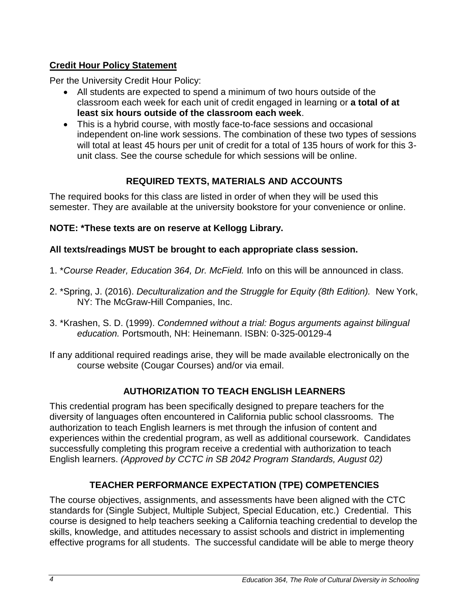## <span id="page-3-0"></span>**Credit Hour Policy Statement**

Per the University Credit Hour Policy:

- All students are expected to spend a minimum of two hours outside of the classroom each week for each unit of credit engaged in learning or **a total of at least six hours outside of the classroom each week**.
- This is a hybrid course, with mostly face-to-face sessions and occasional independent on-line work sessions. The combination of these two types of sessions will total at least 45 hours per unit of credit for a total of 135 hours of work for this 3 unit class. See the course schedule for which sessions will be online.

## **REQUIRED TEXTS, MATERIALS AND ACCOUNTS**

<span id="page-3-1"></span>The required books for this class are listed in order of when they will be used this semester. They are available at the university bookstore for your convenience or online.

## **NOTE: \*These texts are on reserve at Kellogg Library.**

## **All texts/readings MUST be brought to each appropriate class session.**

- 1. \**Course Reader, Education 364, Dr. McField.* Info on this will be announced in class.
- 2. \*Spring, J. (2016). *Deculturalization and the Struggle for Equity (8th Edition).* New York, NY: The McGraw-Hill Companies, Inc.
- 3. \*Krashen, S. D. (1999). *Condemned without a trial: Bogus arguments against bilingual education.* Portsmouth, NH: Heinemann. ISBN: 0-325-00129-4
- If any additional required readings arise, they will be made available electronically on the course website (Cougar Courses) and/or via email.

## **AUTHORIZATION TO TEACH ENGLISH LEARNERS**

<span id="page-3-2"></span>This credential program has been specifically designed to prepare teachers for the diversity of languages often encountered in California public school classrooms. The authorization to teach English learners is met through the infusion of content and experiences within the credential program, as well as additional coursework. Candidates successfully completing this program receive a credential with authorization to teach English learners. *(Approved by CCTC in SB 2042 Program Standards, August 02)*

## **TEACHER PERFORMANCE EXPECTATION (TPE) COMPETENCIES**

<span id="page-3-3"></span>The course objectives, assignments, and assessments have been aligned with the CTC standards for (Single Subject, Multiple Subject, Special Education, etc.) Credential. This course is designed to help teachers seeking a California teaching credential to develop the skills, knowledge, and attitudes necessary to assist schools and district in implementing effective programs for all students. The successful candidate will be able to merge theory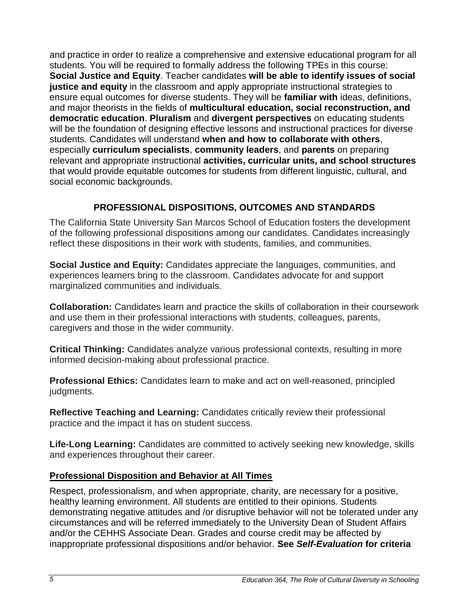and practice in order to realize a comprehensive and extensive educational program for all students. You will be required to formally address the following TPEs in this course: **Social Justice and Equity**. Teacher candidates **will be able to identify issues of social justice and equity** in the classroom and apply appropriate instructional strategies to ensure equal outcomes for diverse students. They will be **familiar with** ideas, definitions, and major theorists in the fields of **multicultural education, social reconstruction, and democratic education**. **Pluralism** and **divergent perspectives** on educating students will be the foundation of designing effective lessons and instructional practices for diverse students. Candidates will understand **when and how to collaborate with others**, especially **curriculum specialists**, **community leaders**, and **parents** on preparing relevant and appropriate instructional **activities, curricular units, and school structures** that would provide equitable outcomes for students from different linguistic, cultural, and social economic backgrounds.

## **PROFESSIONAL DISPOSITIONS, OUTCOMES AND STANDARDS**

<span id="page-4-0"></span>The California State University San Marcos School of Education fosters the development of the following professional dispositions among our candidates. Candidates increasingly reflect these dispositions in their work with students, families, and communities.

**Social Justice and Equity:** Candidates appreciate the languages, communities, and experiences learners bring to the classroom. Candidates advocate for and support marginalized communities and individuals.

**Collaboration:** Candidates learn and practice the skills of collaboration in their coursework and use them in their professional interactions with students, colleagues, parents, caregivers and those in the wider community.

**Critical Thinking:** Candidates analyze various professional contexts, resulting in more informed decision-making about professional practice.

**Professional Ethics:** Candidates learn to make and act on well-reasoned, principled judgments.

**Reflective Teaching and Learning:** Candidates critically review their professional practice and the impact it has on student success.

**Life-Long Learning:** Candidates are committed to actively seeking new knowledge, skills and experiences throughout their career.

#### <span id="page-4-1"></span>**Professional Disposition and Behavior at All Times**

Respect, professionalism, and when appropriate, charity, are necessary for a positive, healthy learning environment. All students are entitled to their opinions. Students demonstrating negative attitudes and /or disruptive behavior will not be tolerated under any circumstances and will be referred immediately to the University Dean of Student Affairs and/or the CEHHS Associate Dean. Grades and course credit may be affected by inappropriate professional dispositions and/or behavior. **See** *Self-Evaluation* **for criteria**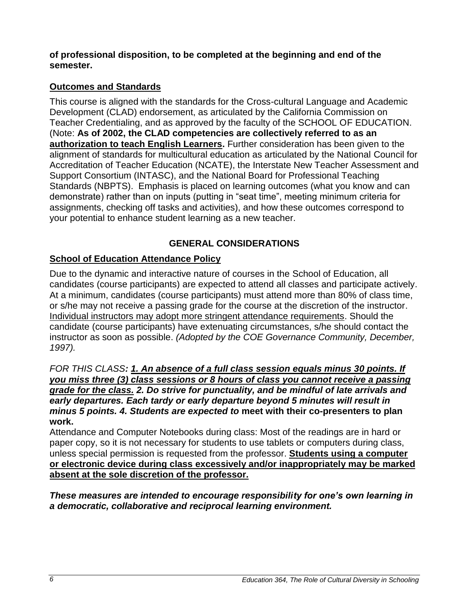**of professional disposition, to be completed at the beginning and end of the semester.**

### <span id="page-5-0"></span>**Outcomes and Standards**

This course is aligned with the standards for the Cross-cultural Language and Academic Development (CLAD) endorsement, as articulated by the California Commission on Teacher Credentialing, and as approved by the faculty of the SCHOOL OF EDUCATION. (Note: **As of 2002, the CLAD competencies are collectively referred to as an authorization to teach English Learners.** Further consideration has been given to the alignment of standards for multicultural education as articulated by the National Council for Accreditation of Teacher Education (NCATE), the Interstate New Teacher Assessment and Support Consortium (INTASC), and the National Board for Professional Teaching Standards (NBPTS). Emphasis is placed on learning outcomes (what you know and can demonstrate) rather than on inputs (putting in "seat time", meeting minimum criteria for assignments, checking off tasks and activities), and how these outcomes correspond to your potential to enhance student learning as a new teacher.

## **GENERAL CONSIDERATIONS**

## <span id="page-5-2"></span><span id="page-5-1"></span>**School of Education Attendance Policy**

Due to the dynamic and interactive nature of courses in the School of Education, all candidates (course participants) are expected to attend all classes and participate actively. At a minimum, candidates (course participants) must attend more than 80% of class time, or s/he may not receive a passing grade for the course at the discretion of the instructor. Individual instructors may adopt more stringent attendance requirements. Should the candidate (course participants) have extenuating circumstances, s/he should contact the instructor as soon as possible. *(Adopted by the COE Governance Community, December, 1997).* 

#### *FOR THIS CLASS: 1. An absence of a full class session equals minus 30 points. If you miss three (3) class sessions or 8 hours of class you cannot receive a passing grade for the class. 2. Do strive for punctuality, and be mindful of late arrivals and early departures. Each tardy or early departure beyond 5 minutes will result in minus 5 points. 4. Students are expected to* **meet with their co-presenters to plan work.**

Attendance and Computer Notebooks during class: Most of the readings are in hard or paper copy, so it is not necessary for students to use tablets or computers during class, unless special permission is requested from the professor. **Students using a computer or electronic device during class excessively and/or inappropriately may be marked absent at the sole discretion of the professor.**

*These measures are intended to encourage responsibility for one's own learning in a democratic, collaborative and reciprocal learning environment.*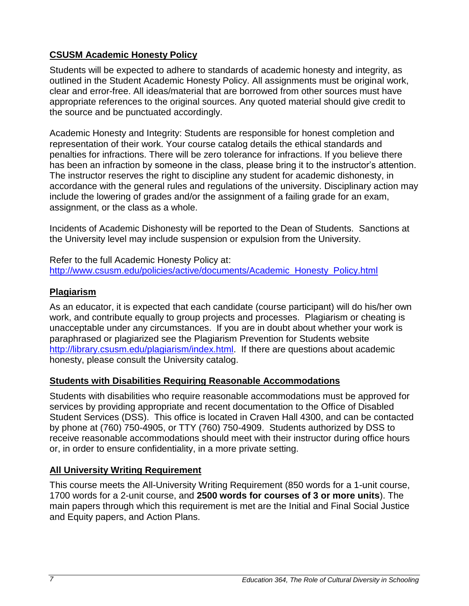## <span id="page-6-0"></span>**CSUSM Academic Honesty Policy**

Students will be expected to adhere to standards of academic honesty and integrity, as outlined in the Student Academic Honesty Policy. All assignments must be original work, clear and error-free. All ideas/material that are borrowed from other sources must have appropriate references to the original sources. Any quoted material should give credit to the source and be punctuated accordingly.

Academic Honesty and Integrity: Students are responsible for honest completion and representation of their work. Your course catalog details the ethical standards and penalties for infractions. There will be zero tolerance for infractions. If you believe there has been an infraction by someone in the class, please bring it to the instructor's attention. The instructor reserves the right to discipline any student for academic dishonesty, in accordance with the general rules and regulations of the university. Disciplinary action may include the lowering of grades and/or the assignment of a failing grade for an exam, assignment, or the class as a whole.

Incidents of Academic Dishonesty will be reported to the Dean of Students. Sanctions at the University level may include suspension or expulsion from the University.

Refer to the full Academic Honesty Policy at: [http://www.csusm.edu/policies/active/documents/Academic\\_Honesty\\_Policy.html](http://www.csusm.edu/policies/active/documents/Academic_Honesty_Policy.html)

#### <span id="page-6-1"></span>**Plagiarism**

As an educator, it is expected that each candidate (course participant) will do his/her own work, and contribute equally to group projects and processes. Plagiarism or cheating is unacceptable under any circumstances. If you are in doubt about whether your work is paraphrased or plagiarized see the Plagiarism Prevention for Students website [http://library.csusm.edu/plagiarism/index.html.](http://library.csusm.edu/plagiarism/index.html) If there are questions about academic honesty, please consult the University catalog.

#### <span id="page-6-2"></span>**Students with Disabilities Requiring Reasonable Accommodations**

Students with disabilities who require reasonable accommodations must be approved for services by providing appropriate and recent documentation to the Office of Disabled Student Services (DSS). This office is located in Craven Hall 4300, and can be contacted by phone at (760) 750-4905, or TTY (760) 750-4909. Students authorized by DSS to receive reasonable accommodations should meet with their instructor during office hours or, in order to ensure confidentiality, in a more private setting.

#### <span id="page-6-3"></span>**All University Writing Requirement**

This course meets the All-University Writing Requirement (850 words for a 1-unit course, 1700 words for a 2-unit course, and **2500 words for courses of 3 or more units**). The main papers through which this requirement is met are the Initial and Final Social Justice and Equity papers, and Action Plans.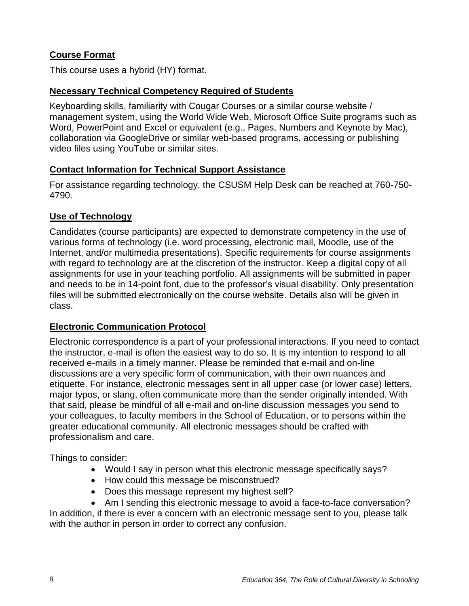### <span id="page-7-0"></span>**Course Format**

This course uses a hybrid (HY) format.

#### <span id="page-7-1"></span>**Necessary Technical Competency Required of Students**

Keyboarding skills, familiarity with Cougar Courses or a similar course website / management system, using the World Wide Web, Microsoft Office Suite programs such as Word, PowerPoint and Excel or equivalent (e.g., Pages, Numbers and Keynote by Mac), collaboration via GoogleDrive or similar web-based programs, accessing or publishing video files using YouTube or similar sites.

#### <span id="page-7-2"></span>**Contact Information for Technical Support Assistance**

For assistance regarding technology, the CSUSM Help Desk can be reached at 760-750- 4790.

### <span id="page-7-3"></span>**Use of Technology**

Candidates (course participants) are expected to demonstrate competency in the use of various forms of technology (i.e. word processing, electronic mail, Moodle, use of the Internet, and/or multimedia presentations). Specific requirements for course assignments with regard to technology are at the discretion of the instructor. Keep a digital copy of all assignments for use in your teaching portfolio. All assignments will be submitted in paper and needs to be in 14-point font, due to the professor's visual disability. Only presentation files will be submitted electronically on the course website. Details also will be given in class.

#### <span id="page-7-4"></span>**Electronic Communication Protocol**

Electronic correspondence is a part of your professional interactions. If you need to contact the instructor, e-mail is often the easiest way to do so. It is my intention to respond to all received e-mails in a timely manner. Please be reminded that e-mail and on-line discussions are a very specific form of communication, with their own nuances and etiquette. For instance, electronic messages sent in all upper case (or lower case) letters, major typos, or slang, often communicate more than the sender originally intended. With that said, please be mindful of all e-mail and on-line discussion messages you send to your colleagues, to faculty members in the School of Education, or to persons within the greater educational community. All electronic messages should be crafted with professionalism and care.

Things to consider:

- Would I say in person what this electronic message specifically says?
- How could this message be misconstrued?
- Does this message represent my highest self?
- Am I sending this electronic message to avoid a face-to-face conversation?

In addition, if there is ever a concern with an electronic message sent to you, please talk with the author in person in order to correct any confusion.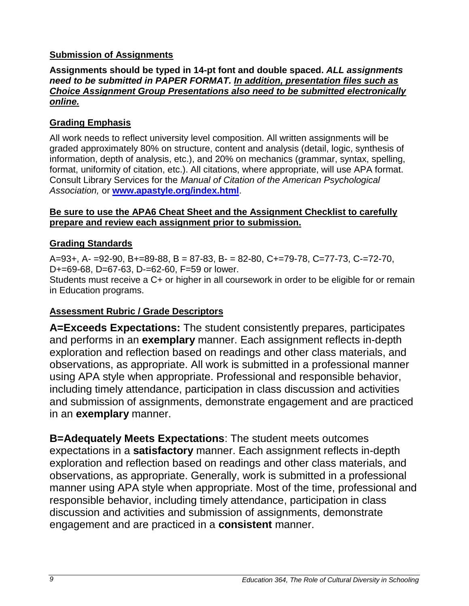### <span id="page-8-0"></span>**Submission of Assignments**

#### **Assignments should be typed in 14-pt font and double spaced.** *ALL assignments need to be submitted in PAPER FORMAT. In addition, presentation files such as Choice Assignment Group Presentations also need to be submitted electronically online.*

### <span id="page-8-1"></span>**Grading Emphasis**

All work needs to reflect university level composition. All written assignments will be graded approximately 80% on structure, content and analysis (detail, logic, synthesis of information, depth of analysis, etc.), and 20% on mechanics (grammar, syntax, spelling, format, uniformity of citation, etc.). All citations, where appropriate, will use APA format. Consult Library Services for the *Manual of Citation of the American Psychological Association,* or **[www.apastyle.org/index.html](http://www.apastyle.org/index.html)**.

#### **Be sure to use the APA6 Cheat Sheet and the Assignment Checklist to carefully prepare and review each assignment prior to submission.**

### <span id="page-8-2"></span>**Grading Standards**

A=93+, A- =92-90, B+=89-88, B = 87-83, B- = 82-80, C+=79-78, C=77-73, C-=72-70, D+=69-68, D=67-63, D-=62-60, F=59 or lower.

Students must receive a C+ or higher in all coursework in order to be eligible for or remain in Education programs.

#### <span id="page-8-3"></span>**Assessment Rubric / Grade Descriptors**

**A=Exceeds Expectations:** The student consistently prepares, participates and performs in an **exemplary** manner. Each assignment reflects in-depth exploration and reflection based on readings and other class materials, and observations, as appropriate. All work is submitted in a professional manner using APA style when appropriate. Professional and responsible behavior, including timely attendance, participation in class discussion and activities and submission of assignments, demonstrate engagement and are practiced in an **exemplary** manner.

**B=Adequately Meets Expectations**: The student meets outcomes expectations in a **satisfactory** manner. Each assignment reflects in-depth exploration and reflection based on readings and other class materials, and observations, as appropriate. Generally, work is submitted in a professional manner using APA style when appropriate. Most of the time, professional and responsible behavior, including timely attendance, participation in class discussion and activities and submission of assignments, demonstrate engagement and are practiced in a **consistent** manner.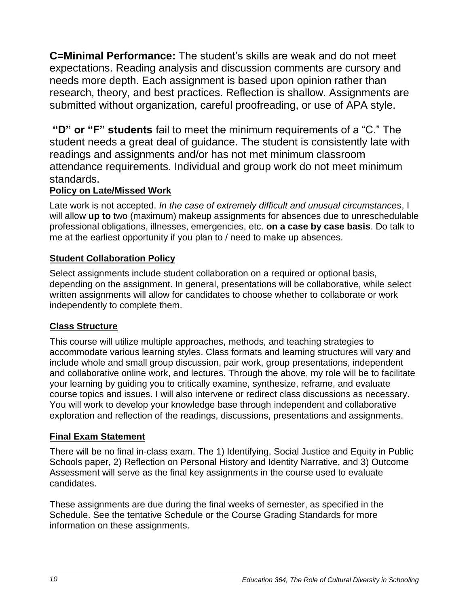**C=Minimal Performance:** The student's skills are weak and do not meet expectations. Reading analysis and discussion comments are cursory and needs more depth. Each assignment is based upon opinion rather than research, theory, and best practices. Reflection is shallow. Assignments are submitted without organization, careful proofreading, or use of APA style.

**"D" or "F" students** fail to meet the minimum requirements of a "C." The student needs a great deal of guidance. The student is consistently late with readings and assignments and/or has not met minimum classroom attendance requirements. Individual and group work do not meet minimum standards.

#### <span id="page-9-0"></span>**Policy on Late/Missed Work**

Late work is not accepted. *In the case of extremely difficult and unusual circumstances*, I will allow **up to** two (maximum) makeup assignments for absences due to unreschedulable professional obligations, illnesses, emergencies, etc. **on a case by case basis**. Do talk to me at the earliest opportunity if you plan to / need to make up absences.

### <span id="page-9-1"></span>**Student Collaboration Policy**

Select assignments include student collaboration on a required or optional basis, depending on the assignment. In general, presentations will be collaborative, while select written assignments will allow for candidates to choose whether to collaborate or work independently to complete them.

#### <span id="page-9-2"></span>**Class Structure**

This course will utilize multiple approaches, methods, and teaching strategies to accommodate various learning styles. Class formats and learning structures will vary and include whole and small group discussion, pair work, group presentations, independent and collaborative online work, and lectures. Through the above, my role will be to facilitate your learning by guiding you to critically examine, synthesize, reframe, and evaluate course topics and issues. I will also intervene or redirect class discussions as necessary. You will work to develop your knowledge base through independent and collaborative exploration and reflection of the readings, discussions, presentations and assignments.

#### <span id="page-9-3"></span>**Final Exam Statement**

There will be no final in-class exam. The 1) Identifying, Social Justice and Equity in Public Schools paper, 2) Reflection on Personal History and Identity Narrative, and 3) Outcome Assessment will serve as the final key assignments in the course used to evaluate candidates.

These assignments are due during the final weeks of semester, as specified in the Schedule. See the tentative Schedule or the Course Grading Standards for more information on these assignments.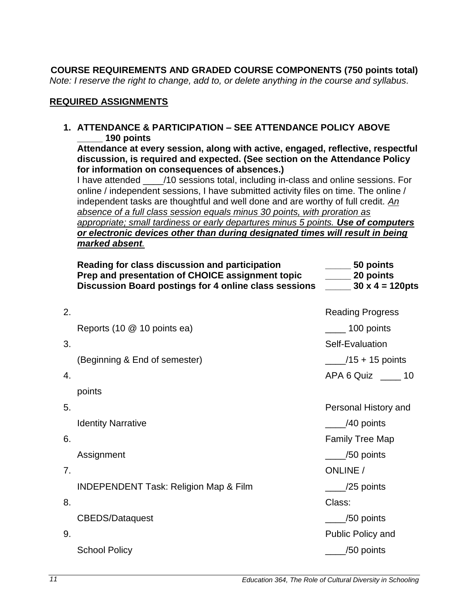<span id="page-10-0"></span>**COURSE REQUIREMENTS AND GRADED COURSE COMPONENTS (750 points total)** *Note: I reserve the right to change, add to, or delete anything in the course and syllabus.*

#### <span id="page-10-1"></span>**REQUIRED ASSIGNMENTS**

**1. ATTENDANCE & PARTICIPATION – SEE ATTENDANCE POLICY ABOVE \_\_\_\_\_ 190 points**

**Attendance at every session, along with active, engaged, reflective, respectful discussion, is required and expected. (See section on the Attendance Policy for information on consequences of absences.)** 

I have attended \_\_\_\_/10 sessions total, including in-class and online sessions. For online / independent sessions, I have submitted activity files on time. The online / independent tasks are thoughtful and well done and are worthy of full credit. *An absence of a full class session equals minus 30 points, with proration as appropriate; small tardiness or early departures minus 5 points. Use of computers or electronic devices other than during designated times will result in being marked absent.*

|    | Reading for class discussion and participation<br>Prep and presentation of CHOICE assignment topic<br>Discussion Board postings for 4 online class sessions | 50 points<br>$\frac{1}{2}$ 20 points<br>$\frac{1}{2}$ 30 x 4 = 120pts |
|----|-------------------------------------------------------------------------------------------------------------------------------------------------------------|-----------------------------------------------------------------------|
| 2. |                                                                                                                                                             | <b>Reading Progress</b>                                               |
|    | Reports (10 @ 10 points ea)                                                                                                                                 | $\frac{100}{2}$ 100 points                                            |
| 3. |                                                                                                                                                             | Self-Evaluation                                                       |
|    | (Beginning & End of semester)                                                                                                                               | $\frac{1}{2}$ /15 + 15 points                                         |
| 4. |                                                                                                                                                             | APA 6 Quiz _____ 10                                                   |
|    | points                                                                                                                                                      |                                                                       |
| 5. |                                                                                                                                                             | Personal History and                                                  |
|    | <b>Identity Narrative</b>                                                                                                                                   | $\frac{1}{2}$ /40 points                                              |
| 6. |                                                                                                                                                             | <b>Family Tree Map</b>                                                |
|    | Assignment                                                                                                                                                  | $\angle$ /50 points                                                   |
| 7. |                                                                                                                                                             | <b>ONLINE</b> /                                                       |
|    | <b>INDEPENDENT Task: Religion Map &amp; Film</b>                                                                                                            | $\frac{25}{25}$ points                                                |
| 8. |                                                                                                                                                             | Class:                                                                |
|    | <b>CBEDS/Dataquest</b>                                                                                                                                      | $\frac{1}{2}$ /50 points                                              |
| 9. |                                                                                                                                                             | Public Policy and                                                     |
|    | <b>School Policy</b>                                                                                                                                        | $\_$ /50 points                                                       |
|    |                                                                                                                                                             |                                                                       |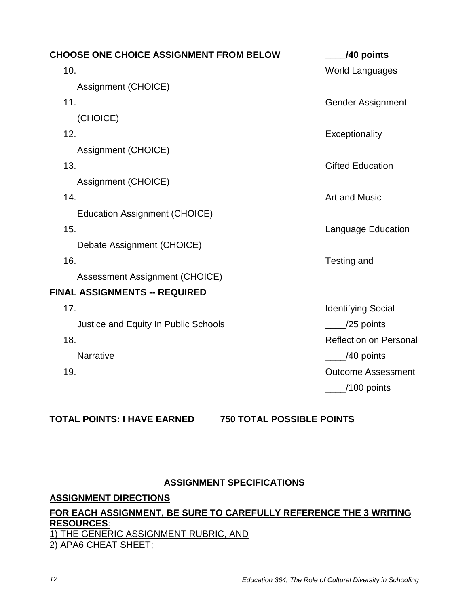| <b>CHOOSE ONE CHOICE ASSIGNMENT FROM BELOW</b> | /40 points                    |
|------------------------------------------------|-------------------------------|
| 10.                                            | <b>World Languages</b>        |
| Assignment (CHOICE)                            |                               |
| 11.                                            | <b>Gender Assignment</b>      |
| (CHOICE)                                       |                               |
| 12.                                            | Exceptionality                |
| Assignment (CHOICE)                            |                               |
| 13.                                            | <b>Gifted Education</b>       |
| Assignment (CHOICE)                            |                               |
| 14.                                            | <b>Art and Music</b>          |
| <b>Education Assignment (CHOICE)</b>           |                               |
| 15.                                            | Language Education            |
| Debate Assignment (CHOICE)                     |                               |
| 16.                                            | Testing and                   |
| Assessment Assignment (CHOICE)                 |                               |
| <b>FINAL ASSIGNMENTS -- REQUIRED</b>           |                               |
| 17.                                            | <b>Identifying Social</b>     |
| Justice and Equity In Public Schools           | $\frac{1}{25}$ points         |
| 18.                                            | <b>Reflection on Personal</b> |
| <b>Narrative</b>                               | /40 points                    |
| 19.                                            | <b>Outcome Assessment</b>     |
|                                                | $\_$ /100 points              |

# **TOTAL POINTS: I HAVE EARNED \_\_\_\_ 750 TOTAL POSSIBLE POINTS**

#### **ASSIGNMENT SPECIFICATIONS**

#### <span id="page-11-1"></span><span id="page-11-0"></span>**ASSIGNMENT DIRECTIONS**

#### **FOR EACH ASSIGNMENT, BE SURE TO CAREFULLY REFERENCE THE 3 WRITING RESOURCES**: 1) THE GENERIC ASSIGNMENT RUBRIC, AND 2) APA6 CHEAT SHEET;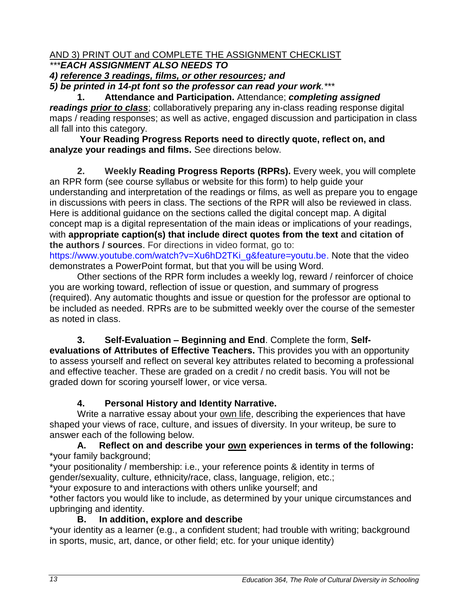### AND 3) PRINT OUT and COMPLETE THE ASSIGNMENT CHECKLIST *\*\*\*EACH ASSIGNMENT ALSO NEEDS TO*

*4) reference 3 readings, films, or other resources; and* 

*5) be printed in 14-pt font so the professor can read your work.\*\*\**

**1. Attendance and Participation.** Attendance; *completing assigned readings prior to class*; collaboratively preparing any in-class reading response digital maps / reading responses; as well as active, engaged discussion and participation in class all fall into this category.

**Your Reading Progress Reports need to directly quote, reflect on, and analyze your readings and films.** See directions below.

**2. Weekly Reading Progress Reports (RPRs).** Every week, you will complete an RPR form (see course syllabus or website for this form) to help guide your understanding and interpretation of the readings or films, as well as prepare you to engage in discussions with peers in class. The sections of the RPR will also be reviewed in class. Here is additional guidance on the sections called the digital concept map. A digital concept map is a digital representation of the main ideas or implications of your readings, with **appropriate caption(s) that include direct quotes from the text and citation of the authors / sources**. For directions in video format, go to: [https://www.youtube.com/watch?v=Xu6hD2TKi\\_g&feature=youtu.be.](https://www.youtube.com/watch?v=Xu6hD2TKi_g&feature=youtu.be) Note that the video demonstrates a PowerPoint format, but that you will be using Word.

Other sections of the RPR form includes a weekly log, reward / reinforcer of choice you are working toward, reflection of issue or question, and summary of progress (required). Any automatic thoughts and issue or question for the professor are optional to be included as needed. RPRs are to be submitted weekly over the course of the semester as noted in class.

**3. Self-Evaluation – Beginning and End**. Complete the form, **Selfevaluations of Attributes of Effective Teachers.** This provides you with an opportunity to assess yourself and reflect on several key attributes related to becoming a professional and effective teacher. These are graded on a credit / no credit basis. You will not be graded down for scoring yourself lower, or vice versa.

## **4. Personal History and Identity Narrative.**

Write a narrative essay about your own life, describing the experiences that have shaped your views of race, culture, and issues of diversity. In your writeup, be sure to answer each of the following below.

**A. Reflect on and describe your own experiences in terms of the following:** \*your family background;

\*your positionality / membership: i.e., your reference points & identity in terms of gender/sexuality, culture, ethnicity/race, class, language, religion, etc.;

\*your exposure to and interactions with others unlike yourself; and

\*other factors you would like to include, as determined by your unique circumstances and upbringing and identity.

## **B. In addition, explore and describe**

\*your identity as a learner (e.g., a confident student; had trouble with writing; background in sports, music, art, dance, or other field; etc. for your unique identity)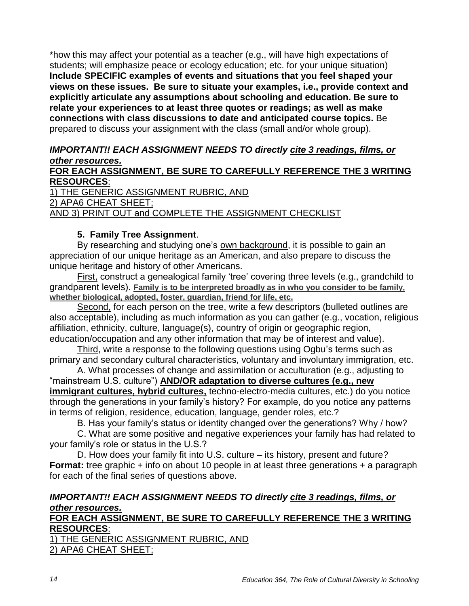\*how this may affect your potential as a teacher (e.g., will have high expectations of students; will emphasize peace or ecology education; etc. for your unique situation) **Include SPECIFIC examples of events and situations that you feel shaped your views on these issues. Be sure to situate your examples, i.e., provide context and explicitly articulate any assumptions about schooling and education. Be sure to relate your experiences to at least three quotes or readings; as well as make connections with class discussions to date and anticipated course topics.** Be prepared to discuss your assignment with the class (small and/or whole group).

#### *IMPORTANT!! EACH ASSIGNMENT NEEDS TO directly cite 3 readings, films, or other resources.*

#### **FOR EACH ASSIGNMENT, BE SURE TO CAREFULLY REFERENCE THE 3 WRITING RESOURCES**:

1) THE GENERIC ASSIGNMENT RUBRIC, AND 2) APA6 CHEAT SHEET; AND 3) PRINT OUT and COMPLETE THE ASSIGNMENT CHECKLIST

#### **5. Family Tree Assignment**.

By researching and studying one's own background, it is possible to gain an appreciation of our unique heritage as an American, and also prepare to discuss the unique heritage and history of other Americans.

First, construct a genealogical family 'tree' covering three levels (e.g., grandchild to grandparent levels). **Family is to be interpreted broadly as in who you consider to be family, whether biological, adopted, foster, guardian, friend for life, etc.**

Second, for each person on the tree, write a few descriptors (bulleted outlines are also acceptable), including as much information as you can gather (e.g., vocation, religious affiliation, ethnicity, culture, language(s), country of origin or geographic region, education/occupation and any other information that may be of interest and value).

Third, write a response to the following questions using Ogbu's terms such as primary and secondary cultural characteristics, voluntary and involuntary immigration, etc.

A. What processes of change and assimilation or acculturation (e.g., adjusting to "mainstream U.S. culture") **AND/OR adaptation to diverse cultures (e.g., new immigrant cultures, hybrid cultures,** techno-electro-media cultures, etc.) do you notice through the generations in your family's history? For example, do you notice any patterns in terms of religion, residence, education, language, gender roles, etc.?

B. Has your family's status or identity changed over the generations? Why / how?

C. What are some positive and negative experiences your family has had related to your family's role or status in the U.S.?

D. How does your family fit into U.S. culture – its history, present and future? **Format:** tree graphic + info on about 10 people in at least three generations + a paragraph for each of the final series of questions above.

### *IMPORTANT!! EACH ASSIGNMENT NEEDS TO directly cite 3 readings, films, or other resources.*

### **FOR EACH ASSIGNMENT, BE SURE TO CAREFULLY REFERENCE THE 3 WRITING RESOURCES**:

1) THE GENERIC ASSIGNMENT RUBRIC, AND 2) APA6 CHEAT SHEET;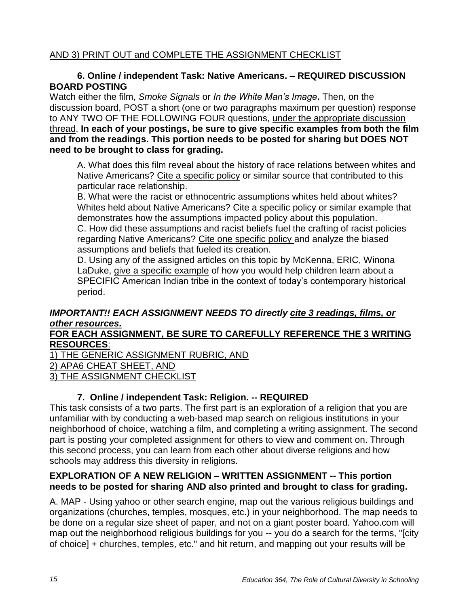### AND 3) PRINT OUT and COMPLETE THE ASSIGNMENT CHECKLIST

#### **6. Online / independent Task: Native Americans. – REQUIRED DISCUSSION BOARD POSTING**

Watch either the film, *Smoke Signals* or *In the White Man's Image***.** Then, on the discussion board, POST a short (one or two paragraphs maximum per question) response to ANY TWO OF THE FOLLOWING FOUR questions, under the appropriate discussion thread. **In each of your postings, be sure to give specific examples from both the film and from the readings. This portion needs to be posted for sharing but DOES NOT need to be brought to class for grading.** 

A. What does this film reveal about the history of race relations between whites and Native Americans? Cite a specific policy or similar source that contributed to this particular race relationship.

B. What were the racist or ethnocentric assumptions whites held about whites? Whites held about Native Americans? Cite a specific policy or similar example that demonstrates how the assumptions impacted policy about this population. C. How did these assumptions and racist beliefs fuel the crafting of racist policies regarding Native Americans? Cite one specific policy and analyze the biased assumptions and beliefs that fueled its creation.

D. Using any of the assigned articles on this topic by McKenna, ERIC, Winona LaDuke, give a specific example of how you would help children learn about a SPECIFIC American Indian tribe in the context of today's contemporary historical period.

## *IMPORTANT!! EACH ASSIGNMENT NEEDS TO directly cite 3 readings, films, or other resources.*

### **FOR EACH ASSIGNMENT, BE SURE TO CAREFULLY REFERENCE THE 3 WRITING RESOURCES**:

1) THE GENERIC ASSIGNMENT RUBRIC, AND

2) APA6 CHEAT SHEET, AND

3) THE ASSIGNMENT CHECKLIST

## **7. Online / independent Task: Religion. -- REQUIRED**

This task consists of a two parts. The first part is an exploration of a religion that you are unfamiliar with by conducting a web-based map search on religious institutions in your neighborhood of choice, watching a film, and completing a writing assignment. The second part is posting your completed assignment for others to view and comment on. Through this second process, you can learn from each other about diverse religions and how schools may address this diversity in religions.

#### **EXPLORATION OF A NEW RELIGION – WRITTEN ASSIGNMENT -- This portion needs to be posted for sharing AND also printed and brought to class for grading.**

A. MAP - Using yahoo or other search engine, map out the various religious buildings and organizations (churches, temples, mosques, etc.) in your neighborhood. The map needs to be done on a regular size sheet of paper, and not on a giant poster board. Yahoo.com will map out the neighborhood religious buildings for you -- you do a search for the terms, "[city of choice] + churches, temples, etc." and hit return, and mapping out your results will be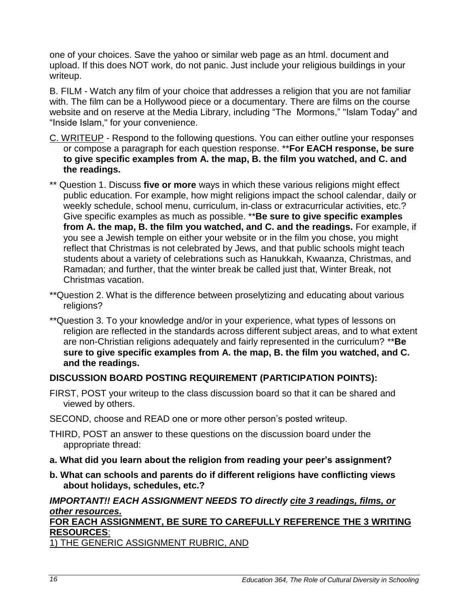one of your choices. Save the yahoo or similar web page as an html. document and upload. If this does NOT work, do not panic. Just include your religious buildings in your writeup.

B. FILM - Watch any film of your choice that addresses a religion that you are not familiar with. The film can be a Hollywood piece or a documentary. There are films on the course website and on reserve at the Media Library, including "The Mormons," "Islam Today" and "Inside Islam," for your convenience.

- C. WRITEUP Respond to the following questions. You can either outline your responses or compose a paragraph for each question response. \*\***For EACH response, be sure to give specific examples from A. the map, B. the film you watched, and C. and the readings.**
- \*\* Question 1. Discuss **five or more** ways in which these various religions might effect public education. For example, how might religions impact the school calendar, daily or weekly schedule, school menu, curriculum, in-class or extracurricular activities, etc.? Give specific examples as much as possible. \*\***Be sure to give specific examples from A. the map, B. the film you watched, and C. and the readings.** For example, if you see a Jewish temple on either your website or in the film you chose, you might reflect that Christmas is not celebrated by Jews, and that public schools might teach students about a variety of celebrations such as Hanukkah, Kwaanza, Christmas, and Ramadan; and further, that the winter break be called just that, Winter Break, not Christmas vacation.
- \*\*Question 2. What is the difference between proselytizing and educating about various religions?
- \*\*Question 3. To your knowledge and/or in your experience, what types of lessons on religion are reflected in the standards across different subject areas, and to what extent are non-Christian religions adequately and fairly represented in the curriculum? \*\***Be sure to give specific examples from A. the map, B. the film you watched, and C. and the readings.**

#### **DISCUSSION BOARD POSTING REQUIREMENT (PARTICIPATION POINTS):**

- FIRST, POST your writeup to the class discussion board so that it can be shared and viewed by others.
- SECOND, choose and READ one or more other person's posted writeup.
- THIRD, POST an answer to these questions on the discussion board under the appropriate thread:
- **a. What did you learn about the religion from reading your peer's assignment?**
- **b. What can schools and parents do if different religions have conflicting views about holidays, schedules, etc.?**

### *IMPORTANT!! EACH ASSIGNMENT NEEDS TO directly cite 3 readings, films, or other resources.*

#### **FOR EACH ASSIGNMENT, BE SURE TO CAREFULLY REFERENCE THE 3 WRITING RESOURCES**:

1) THE GENERIC ASSIGNMENT RUBRIC, AND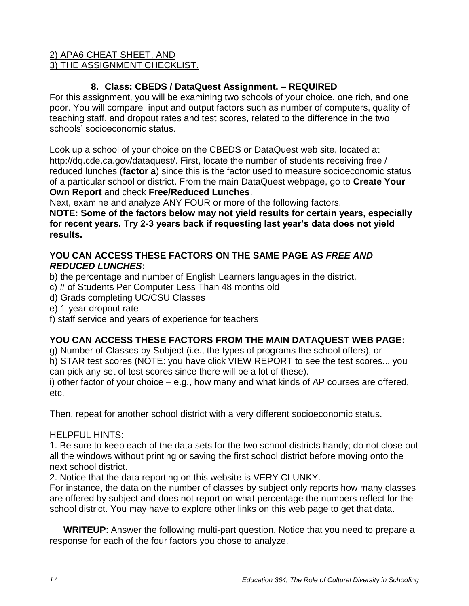### 2) APA6 CHEAT SHEET, AND 3) THE ASSIGNMENT CHECKLIST.

## **8. Class: CBEDS / DataQuest Assignment. – REQUIRED**

For this assignment, you will be examining two schools of your choice, one rich, and one poor. You will compare input and output factors such as number of computers, quality of teaching staff, and dropout rates and test scores, related to the difference in the two schools' socioeconomic status.

Look up a school of your choice on the CBEDS or DataQuest web site, located at http://dq.cde.ca.gov/dataquest/. First, locate the number of students receiving free / reduced lunches (**factor a**) since this is the factor used to measure socioeconomic status of a particular school or district. From the main DataQuest webpage, go to **Create Your Own Report** and check **Free/Reduced Lunches**.

Next, examine and analyze ANY FOUR or more of the following factors.

**NOTE: Some of the factors below may not yield results for certain years, especially for recent years. Try 2-3 years back if requesting last year's data does not yield results.** 

### **YOU CAN ACCESS THESE FACTORS ON THE SAME PAGE AS** *FREE AND REDUCED LUNCHES***:**

- b) the percentage and number of English Learners languages in the district,
- c) # of Students Per Computer Less Than 48 months old
- d) Grads completing UC/CSU Classes
- e) 1-year dropout rate
- f) staff service and years of experience for teachers

## **YOU CAN ACCESS THESE FACTORS FROM THE MAIN DATAQUEST WEB PAGE:**

g) Number of Classes by Subject (i.e., the types of programs the school offers), or h) STAR test scores (NOTE: you have click VIEW REPORT to see the test scores... you can pick any set of test scores since there will be a lot of these).

i) other factor of your choice – e.g., how many and what kinds of AP courses are offered, etc.

Then, repeat for another school district with a very different socioeconomic status.

## HELPFUL HINTS:

1. Be sure to keep each of the data sets for the two school districts handy; do not close out all the windows without printing or saving the first school district before moving onto the next school district.

2. Notice that the data reporting on this website is VERY CLUNKY.

For instance, the data on the number of classes by subject only reports how many classes are offered by subject and does not report on what percentage the numbers reflect for the school district. You may have to explore other links on this web page to get that data.

**WRITEUP**: Answer the following multi-part question. Notice that you need to prepare a response for each of the four factors you chose to analyze.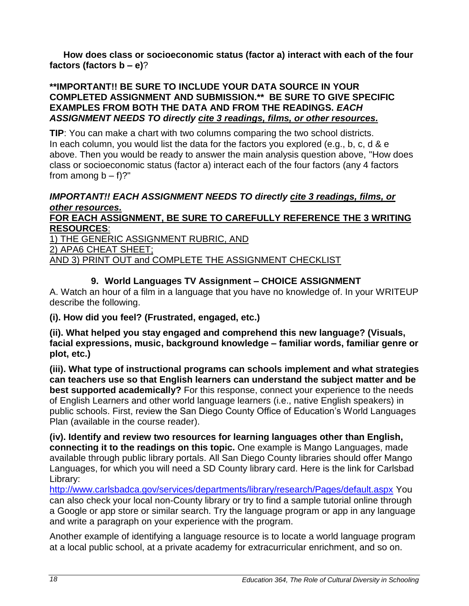**How does class or socioeconomic status (factor a) interact with each of the four factors (factors b – e)**?

#### **\*\*IMPORTANT!! BE SURE TO INCLUDE YOUR DATA SOURCE IN YOUR COMPLETED ASSIGNMENT AND SUBMISSION.\*\* BE SURE TO GIVE SPECIFIC EXAMPLES FROM BOTH THE DATA AND FROM THE READINGS.** *EACH ASSIGNMENT NEEDS TO directly cite 3 readings, films, or other resources.*

**TIP**: You can make a chart with two columns comparing the two school districts. In each column, you would list the data for the factors you explored (e.g., b, c, d & e above. Then you would be ready to answer the main analysis question above, "How does class or socioeconomic status (factor a) interact each of the four factors (any 4 factors from among  $b - f$ ?"

#### *IMPORTANT!! EACH ASSIGNMENT NEEDS TO directly cite 3 readings, films, or other resources.*

#### **FOR EACH ASSIGNMENT, BE SURE TO CAREFULLY REFERENCE THE 3 WRITING RESOURCES**:

1) THE GENERIC ASSIGNMENT RUBRIC, AND

2) APA6 CHEAT SHEET;

AND 3) PRINT OUT and COMPLETE THE ASSIGNMENT CHECKLIST

## **9. World Languages TV Assignment – CHOICE ASSIGNMENT**

A. Watch an hour of a film in a language that you have no knowledge of. In your WRITEUP describe the following.

## **(i). How did you feel? (Frustrated, engaged, etc.)**

**(ii). What helped you stay engaged and comprehend this new language? (Visuals, facial expressions, music, background knowledge – familiar words, familiar genre or plot, etc.)** 

**(iii). What type of instructional programs can schools implement and what strategies can teachers use so that English learners can understand the subject matter and be best supported academically?** For this response, connect your experience to the needs of English Learners and other world language learners (i.e., native English speakers) in public schools. First, review the San Diego County Office of Education's World Languages Plan (available in the course reader).

**(iv). Identify and review two resources for learning languages other than English, connecting it to the readings on this topic.** One example is Mango Languages, made available through public library portals. All San Diego County libraries should offer Mango Languages, for which you will need a SD County library card. Here is the link for Carlsbad Library:

<http://www.carlsbadca.gov/services/departments/library/research/Pages/default.aspx> You can also check your local non-County library or try to find a sample tutorial online through a Google or app store or similar search. Try the language program or app in any language and write a paragraph on your experience with the program.

Another example of identifying a language resource is to locate a world language program at a local public school, at a private academy for extracurricular enrichment, and so on.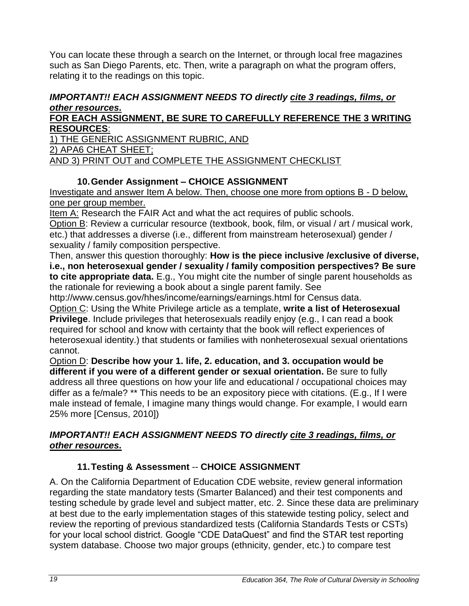You can locate these through a search on the Internet, or through local free magazines such as San Diego Parents, etc. Then, write a paragraph on what the program offers, relating it to the readings on this topic.

#### *IMPORTANT!! EACH ASSIGNMENT NEEDS TO directly cite 3 readings, films, or other resources.*

#### **FOR EACH ASSIGNMENT, BE SURE TO CAREFULLY REFERENCE THE 3 WRITING RESOURCES**:

1) THE GENERIC ASSIGNMENT RUBRIC, AND 2) APA6 CHEAT SHEET; AND 3) PRINT OUT and COMPLETE THE ASSIGNMENT CHECKLIST

## **10.Gender Assignment – CHOICE ASSIGNMENT**

Investigate and answer Item A below. Then, choose one more from options B - D below, one per group member.

Item A: Research the FAIR Act and what the act requires of public schools.

Option B: Review a curricular resource (textbook, book, film, or visual / art / musical work, etc.) that addresses a diverse (i.e., different from mainstream heterosexual) gender / sexuality / family composition perspective.

Then, answer this question thoroughly: **How is the piece inclusive /exclusive of diverse, i.e., non heterosexual gender / sexuality / family composition perspectives? Be sure to cite appropriate data.** E.g., You might cite the number of single parent households as the rationale for reviewing a book about a single parent family. See

http://www.census.gov/hhes/income/earnings/earnings.html for Census data.

Option C: Using the White Privilege article as a template, **write a list of Heterosexual Privilege**. Include privileges that heterosexuals readily enjoy (e.g., I can read a book required for school and know with certainty that the book will reflect experiences of heterosexual identity.) that students or families with nonheterosexual sexual orientations cannot.

Option D: **Describe how your 1. life, 2. education, and 3. occupation would be different if you were of a different gender or sexual orientation.** Be sure to fully address all three questions on how your life and educational / occupational choices may differ as a fe/male? \*\* This needs to be an expository piece with citations. (E.g., If I were male instead of female, I imagine many things would change. For example, I would earn 25% more [Census, 2010])

## *IMPORTANT!! EACH ASSIGNMENT NEEDS TO directly cite 3 readings, films, or other resources.*

## **11.Testing & Assessment** -- **CHOICE ASSIGNMENT**

A. On the California Department of Education CDE website, review general information regarding the state mandatory tests (Smarter Balanced) and their test components and testing schedule by grade level and subject matter, etc. 2. Since these data are preliminary at best due to the early implementation stages of this statewide testing policy, select and review the reporting of previous standardized tests (California Standards Tests or CSTs) for your local school district. Google "CDE DataQuest" and find the STAR test reporting system database. Choose two major groups (ethnicity, gender, etc.) to compare test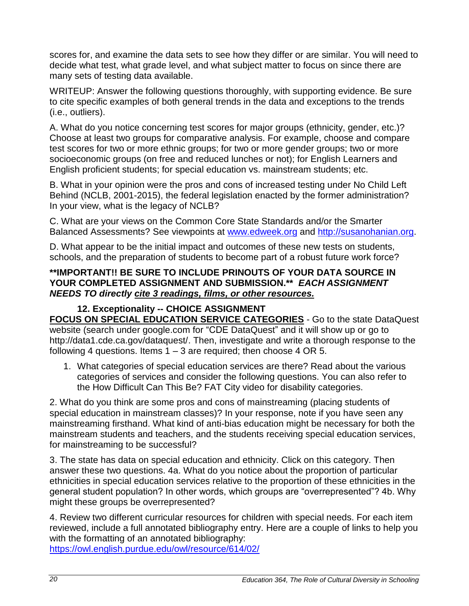scores for, and examine the data sets to see how they differ or are similar. You will need to decide what test, what grade level, and what subject matter to focus on since there are many sets of testing data available.

WRITEUP: Answer the following questions thoroughly, with supporting evidence. Be sure to cite specific examples of both general trends in the data and exceptions to the trends (i.e., outliers).

A. What do you notice concerning test scores for major groups (ethnicity, gender, etc.)? Choose at least two groups for comparative analysis. For example, choose and compare test scores for two or more ethnic groups; for two or more gender groups; two or more socioeconomic groups (on free and reduced lunches or not); for English Learners and English proficient students; for special education vs. mainstream students; etc.

B. What in your opinion were the pros and cons of increased testing under No Child Left Behind (NCLB, 2001-2015), the federal legislation enacted by the former administration? In your view, what is the legacy of NCLB?

C. What are your views on the Common Core State Standards and/or the Smarter Balanced Assessments? See viewpoints at [www.edweek.org](http://www.edweek.org/) and [http://susanohanian.org.](http://susanohanian.org/)

D. What appear to be the initial impact and outcomes of these new tests on students, schools, and the preparation of students to become part of a robust future work force?

#### **\*\*IMPORTANT!! BE SURE TO INCLUDE PRINOUTS OF YOUR DATA SOURCE IN YOUR COMPLETED ASSIGNMENT AND SUBMISSION.\*\*** *EACH ASSIGNMENT NEEDS TO directly cite 3 readings, films, or other resources.*

### **12. Exceptionality -- CHOICE ASSIGNMENT**

**FOCUS ON SPECIAL EDUCATION SERVICE CATEGORIES** - Go to the state DataQuest website (search under google.com for "CDE DataQuest" and it will show up or go to http://data1.cde.ca.gov/dataquest/. Then, investigate and write a thorough response to the following 4 questions. Items  $1 - 3$  are required; then choose 4 OR 5.

1. What categories of special education services are there? Read about the various categories of services and consider the following questions. You can also refer to the How Difficult Can This Be? FAT City video for disability categories.

2. What do you think are some pros and cons of mainstreaming (placing students of special education in mainstream classes)? In your response, note if you have seen any mainstreaming firsthand. What kind of anti-bias education might be necessary for both the mainstream students and teachers, and the students receiving special education services, for mainstreaming to be successful?

3. The state has data on special education and ethnicity. Click on this category. Then answer these two questions. 4a. What do you notice about the proportion of particular ethnicities in special education services relative to the proportion of these ethnicities in the general student population? In other words, which groups are "overrepresented"? 4b. Why might these groups be overrepresented?

4. Review two different curricular resources for children with special needs. For each item reviewed, include a full annotated bibliography entry. Here are a couple of links to help you with the formatting of an annotated bibliography:

<https://owl.english.purdue.edu/owl/resource/614/02/>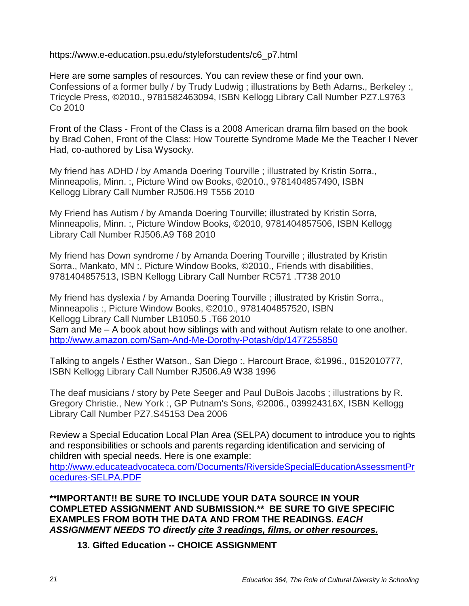https://www.e-education.psu.edu/styleforstudents/c6\_p7.html

Here are some samples of resources. You can review these or find your own. Confessions of a former bully / by Trudy Ludwig ; illustrations by Beth Adams., Berkeley :, Tricycle Press, ©2010., 9781582463094, ISBN Kellogg Library Call Number PZ7.L9763 Co 2010

Front of the Class - Front of the Class is a 2008 American drama film based on the book by Brad Cohen, Front of the Class: How Tourette Syndrome Made Me the Teacher I Never Had, co-authored by Lisa Wysocky.

My friend has ADHD / by Amanda Doering Tourville ; illustrated by Kristin Sorra., Minneapolis, Minn. :, Picture Wind ow Books, ©2010., 9781404857490, ISBN Kellogg Library Call Number RJ506.H9 T556 2010

My Friend has Autism / by Amanda Doering Tourville; illustrated by Kristin Sorra, Minneapolis, Minn. :, Picture Window Books, ©2010, 9781404857506, ISBN Kellogg Library Call Number RJ506.A9 T68 2010

My friend has Down syndrome / by Amanda Doering Tourville ; illustrated by Kristin Sorra., Mankato, MN :, Picture Window Books, ©2010., Friends with disabilities, 9781404857513, ISBN Kellogg Library Call Number RC571 .T738 2010

My friend has dyslexia / by Amanda Doering Tourville ; illustrated by Kristin Sorra., Minneapolis :, Picture Window Books, ©2010., 9781404857520, ISBN Kellogg Library Call Number LB1050.5 .T66 2010 Sam and Me – A book about how siblings with and without Autism relate to one another. <http://www.amazon.com/Sam-And-Me-Dorothy-Potash/dp/1477255850>

Talking to angels / Esther Watson., San Diego :, Harcourt Brace, ©1996., 0152010777, ISBN Kellogg Library Call Number RJ506.A9 W38 1996

The deaf musicians / story by Pete Seeger and Paul DuBois Jacobs ; illustrations by R. Gregory Christie., New York :, GP Putnam's Sons, ©2006., 039924316X, ISBN Kellogg Library Call Number PZ7.S45153 Dea 2006

Review a Special Education Local Plan Area (SELPA) document to introduce you to rights and responsibilities or schools and parents regarding identification and servicing of children with special needs. Here is one example:

http://www.educateadvocateca.com/Documents/RiversideSpecialEducationAssessmentPr ocedures-SELPA.PDF

**\*\*IMPORTANT!! BE SURE TO INCLUDE YOUR DATA SOURCE IN YOUR COMPLETED ASSIGNMENT AND SUBMISSION.\*\* BE SURE TO GIVE SPECIFIC EXAMPLES FROM BOTH THE DATA AND FROM THE READINGS.** *EACH ASSIGNMENT NEEDS TO directly cite 3 readings, films, or other resources.*

**13. Gifted Education -- CHOICE ASSIGNMENT**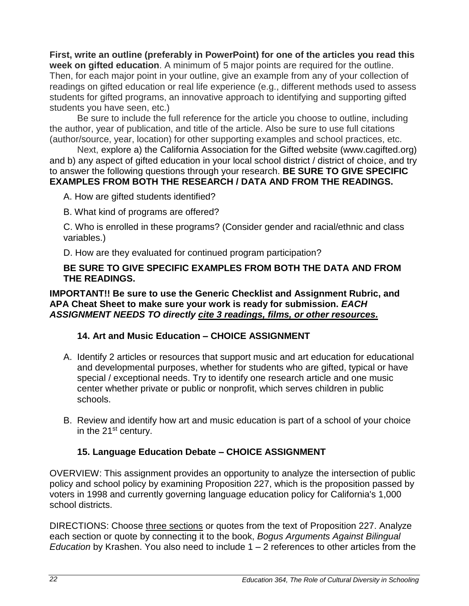**First, write an outline (preferably in PowerPoint) for one of the articles you read this week on gifted education**. A minimum of 5 major points are required for the outline. Then, for each major point in your outline, give an example from any of your collection of readings on gifted education or real life experience (e.g., different methods used to assess students for gifted programs, an innovative approach to identifying and supporting gifted students you have seen, etc.)

Be sure to include the full reference for the article you choose to outline, including the author, year of publication, and title of the article. Also be sure to use full citations (author/source, year, location) for other supporting examples and school practices, etc.

Next, explore a) the California Association for the Gifted website (www.cagifted.org) and b) any aspect of gifted education in your local school district / district of choice, and try to answer the following questions through your research. **BE SURE TO GIVE SPECIFIC EXAMPLES FROM BOTH THE RESEARCH / DATA AND FROM THE READINGS.**

A. How are gifted students identified?

B. What kind of programs are offered?

C. Who is enrolled in these programs? (Consider gender and racial/ethnic and class variables.)

D. How are they evaluated for continued program participation?

#### **BE SURE TO GIVE SPECIFIC EXAMPLES FROM BOTH THE DATA AND FROM THE READINGS.**

#### **IMPORTANT!! Be sure to use the Generic Checklist and Assignment Rubric, and APA Cheat Sheet to make sure your work is ready for submission.** *EACH ASSIGNMENT NEEDS TO directly cite 3 readings, films, or other resources.*

## **14. Art and Music Education – CHOICE ASSIGNMENT**

- A. Identify 2 articles or resources that support music and art education for educational and developmental purposes, whether for students who are gifted, typical or have special / exceptional needs. Try to identify one research article and one music center whether private or public or nonprofit, which serves children in public schools.
- B. Review and identify how art and music education is part of a school of your choice in the 21<sup>st</sup> century.

## **15. Language Education Debate – CHOICE ASSIGNMENT**

OVERVIEW: This assignment provides an opportunity to analyze the intersection of public policy and school policy by examining Proposition 227, which is the proposition passed by voters in 1998 and currently governing language education policy for California's 1,000 school districts.

DIRECTIONS: Choose three sections or quotes from the text of Proposition 227. Analyze each section or quote by connecting it to the book, *Bogus Arguments Against Bilingual Education* by Krashen. You also need to include 1 – 2 references to other articles from the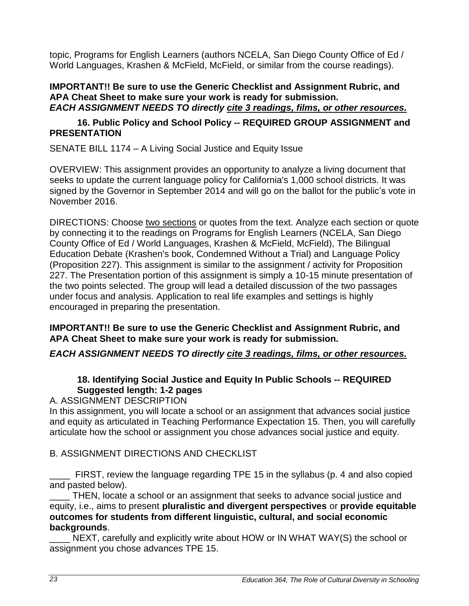topic, Programs for English Learners (authors NCELA, San Diego County Office of Ed / World Languages, Krashen & McField, McField, or similar from the course readings).

**IMPORTANT!! Be sure to use the Generic Checklist and Assignment Rubric, and APA Cheat Sheet to make sure your work is ready for submission.** *EACH ASSIGNMENT NEEDS TO directly cite 3 readings, films, or other resources.*

#### **16. Public Policy and School Policy -- REQUIRED GROUP ASSIGNMENT and PRESENTATION**

SENATE BILL 1174 – A Living Social Justice and Equity Issue

OVERVIEW: This assignment provides an opportunity to analyze a living document that seeks to update the current language policy for California's 1,000 school districts. It was signed by the Governor in September 2014 and will go on the ballot for the public's vote in November 2016.

DIRECTIONS: Choose two sections or quotes from the text. Analyze each section or quote by connecting it to the readings on Programs for English Learners (NCELA, San Diego County Office of Ed / World Languages, Krashen & McField, McField), The Bilingual Education Debate (Krashen's book, Condemned Without a Trial) and Language Policy (Proposition 227). This assignment is similar to the assignment / activity for Proposition 227. The Presentation portion of this assignment is simply a 10-15 minute presentation of the two points selected. The group will lead a detailed discussion of the two passages under focus and analysis. Application to real life examples and settings is highly encouraged in preparing the presentation.

#### **IMPORTANT!! Be sure to use the Generic Checklist and Assignment Rubric, and APA Cheat Sheet to make sure your work is ready for submission.**

*EACH ASSIGNMENT NEEDS TO directly cite 3 readings, films, or other resources.*

## **18. Identifying Social Justice and Equity In Public Schools -- REQUIRED Suggested length: 1-2 pages**

A. ASSIGNMENT DESCRIPTION

In this assignment, you will locate a school or an assignment that advances social justice and equity as articulated in Teaching Performance Expectation 15. Then, you will carefully articulate how the school or assignment you chose advances social justice and equity.

## B. ASSIGNMENT DIRECTIONS AND CHECKLIST

\_\_\_\_ FIRST, review the language regarding TPE 15 in the syllabus (p. 4 and also copied and pasted below).

THEN, locate a school or an assignment that seeks to advance social justice and equity, i.e., aims to present **pluralistic and divergent perspectives** or **provide equitable outcomes for students from different linguistic, cultural, and social economic backgrounds**.

NEXT, carefully and explicitly write about HOW or IN WHAT WAY(S) the school or assignment you chose advances TPE 15.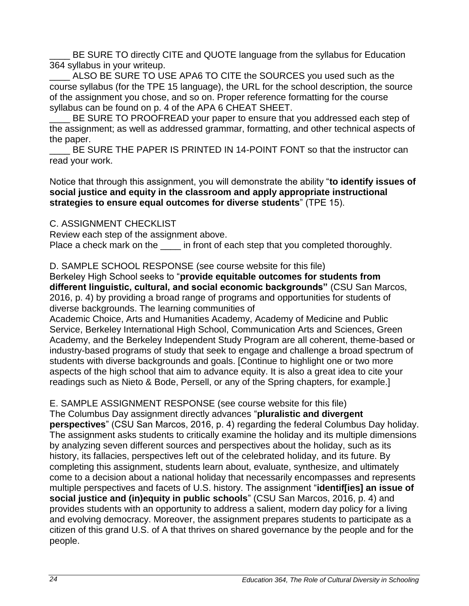BE SURE TO directly CITE and QUOTE language from the syllabus for Education 364 syllabus in your writeup.

ALSO BE SURE TO USE APA6 TO CITE the SOURCES you used such as the course syllabus (for the TPE 15 language), the URL for the school description, the source of the assignment you chose, and so on. Proper reference formatting for the course syllabus can be found on p. 4 of the APA 6 CHEAT SHEET.

BE SURE TO PROOFREAD your paper to ensure that you addressed each step of the assignment; as well as addressed grammar, formatting, and other technical aspects of the paper.

BE SURE THE PAPER IS PRINTED IN 14-POINT FONT so that the instructor can read your work.

Notice that through this assignment, you will demonstrate the ability "**to identify issues of social justice and equity in the classroom and apply appropriate instructional strategies to ensure equal outcomes for diverse students**" (TPE 15).

C. ASSIGNMENT CHECKLIST

Review each step of the assignment above. Place a check mark on the in front of each step that you completed thoroughly.

D. SAMPLE SCHOOL RESPONSE (see course website for this file)

Berkeley High School seeks to "**provide equitable outcomes for students from different linguistic, cultural, and social economic backgrounds"** (CSU San Marcos, 2016, p. 4) by providing a broad range of programs and opportunities for students of diverse backgrounds. The learning communities of

Academic Choice, Arts and Humanities Academy, Academy of Medicine and Public Service, Berkeley International High School, Communication Arts and Sciences, Green Academy, and the Berkeley Independent Study Program are all coherent, theme-based or industry-based programs of study that seek to engage and challenge a broad spectrum of students with diverse backgrounds and goals. [Continue to highlight one or two more aspects of the high school that aim to advance equity. It is also a great idea to cite your readings such as Nieto & Bode, Persell, or any of the Spring chapters, for example.]

E. SAMPLE ASSIGNMENT RESPONSE (see course website for this file)

The Columbus Day assignment directly advances "**pluralistic and divergent perspectives**" (CSU San Marcos, 2016, p. 4) regarding the federal Columbus Day holiday. The assignment asks students to critically examine the holiday and its multiple dimensions by analyzing seven different sources and perspectives about the holiday, such as its history, its fallacies, perspectives left out of the celebrated holiday, and its future. By completing this assignment, students learn about, evaluate, synthesize, and ultimately come to a decision about a national holiday that necessarily encompasses and represents multiple perspectives and facets of U.S. history. The assignment "**identif[ies] an issue of social justice and (in)equity in public schools**" (CSU San Marcos, 2016, p. 4) and provides students with an opportunity to address a salient, modern day policy for a living and evolving democracy. Moreover, the assignment prepares students to participate as a citizen of this grand U.S. of A that thrives on shared governance by the people and for the people.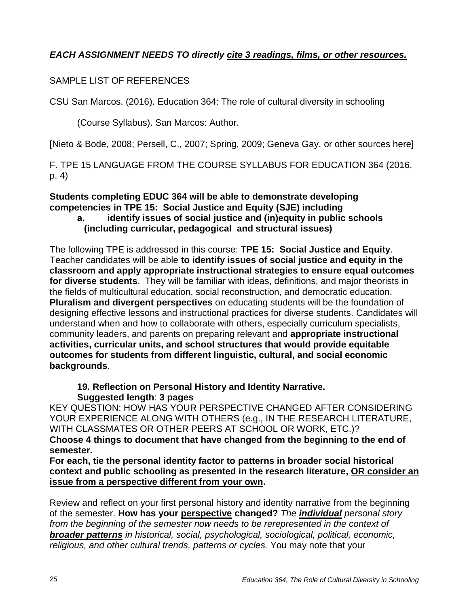## *EACH ASSIGNMENT NEEDS TO directly cite 3 readings, films, or other resources.*

### SAMPLE LIST OF REFERENCES

CSU San Marcos. (2016). Education 364: The role of cultural diversity in schooling

(Course Syllabus). San Marcos: Author.

[Nieto & Bode, 2008; Persell, C., 2007; Spring, 2009; Geneva Gay, or other sources here]

F. TPE 15 LANGUAGE FROM THE COURSE SYLLABUS FOR EDUCATION 364 (2016, p. 4)

#### **Students completing EDUC 364 will be able to demonstrate developing competencies in TPE 15: Social Justice and Equity (SJE) including a. identify issues of social justice and (in)equity in public schools (including curricular, pedagogical and structural issues)**

The following TPE is addressed in this course: **TPE 15: Social Justice and Equity**. Teacher candidates will be able **to identify issues of social justice and equity in the classroom and apply appropriate instructional strategies to ensure equal outcomes for diverse students**. They will be familiar with ideas, definitions, and major theorists in the fields of multicultural education, social reconstruction, and democratic education. **Pluralism and divergent perspectives** on educating students will be the foundation of designing effective lessons and instructional practices for diverse students. Candidates will understand when and how to collaborate with others, especially curriculum specialists, community leaders, and parents on preparing relevant and **appropriate instructional activities, curricular units, and school structures that would provide equitable outcomes for students from different linguistic, cultural, and social economic backgrounds**.

#### **19. Reflection on Personal History and Identity Narrative. Suggested length**: **3 pages**

KEY QUESTION: HOW HAS YOUR PERSPECTIVE CHANGED AFTER CONSIDERING YOUR EXPERIENCE ALONG WITH OTHERS (e.g., IN THE RESEARCH LITERATURE, WITH CLASSMATES OR OTHER PEERS AT SCHOOL OR WORK, ETC.)?

**Choose 4 things to document that have changed from the beginning to the end of semester.** 

**For each, tie the personal identity factor to patterns in broader social historical context and public schooling as presented in the research literature, OR consider an issue from a perspective different from your own.** 

Review and reflect on your first personal history and identity narrative from the beginning of the semester. **How has your perspective changed?** *The individual personal story*  from the beginning of the semester now needs to be rerepresented in the context of *broader patterns in historical, social, psychological, sociological, political, economic, religious, and other cultural trends, patterns or cycles.* You may note that your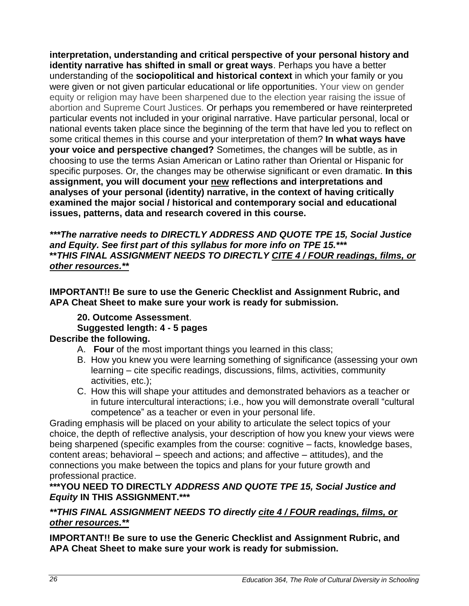**interpretation, understanding and critical perspective of your personal history and identity narrative has shifted in small or great ways**. Perhaps you have a better understanding of the **sociopolitical and historical context** in which your family or you were given or not given particular educational or life opportunities. Your view on gender equity or religion may have been sharpened due to the election year raising the issue of abortion and Supreme Court Justices. Or perhaps you remembered or have reinterpreted particular events not included in your original narrative. Have particular personal, local or national events taken place since the beginning of the term that have led you to reflect on some critical themes in this course and your interpretation of them? **In what ways have your voice and perspective changed?** Sometimes, the changes will be subtle, as in choosing to use the terms Asian American or Latino rather than Oriental or Hispanic for specific purposes. Or, the changes may be otherwise significant or even dramatic. **In this assignment, you will document your new reflections and interpretations and analyses of your personal (identity) narrative, in the context of having critically examined the major social / historical and contemporary social and educational issues, patterns, data and research covered in this course.** 

*\*\*\*The narrative needs to DIRECTLY ADDRESS AND QUOTE TPE 15, Social Justice and Equity. See first part of this syllabus for more info on TPE 15.\*\*\** **\*\****THIS FINAL ASSIGNMENT NEEDS TO DIRECTLY CITE 4 / FOUR readings, films, or other resources.\*\**

**IMPORTANT!! Be sure to use the Generic Checklist and Assignment Rubric, and APA Cheat Sheet to make sure your work is ready for submission.**

## **20. Outcome Assessment**.

#### **Suggested length: 4 - 5 pages**

## **Describe the following.**

- A. **Four** of the most important things you learned in this class;
- B. How you knew you were learning something of significance (assessing your own learning – cite specific readings, discussions, films, activities, community activities, etc.);
- C. How this will shape your attitudes and demonstrated behaviors as a teacher or in future intercultural interactions; i.e., how you will demonstrate overall "cultural competence" as a teacher or even in your personal life.

Grading emphasis will be placed on your ability to articulate the select topics of your choice, the depth of reflective analysis, your description of how you knew your views were being sharpened (specific examples from the course: cognitive – facts, knowledge bases, content areas; behavioral – speech and actions; and affective – attitudes), and the connections you make between the topics and plans for your future growth and professional practice.

#### **\*\*\*YOU NEED TO DIRECTLY** *ADDRESS AND QUOTE TPE 15, Social Justice and Equity* **IN THIS ASSIGNMENT.\*\*\***

*\*\*THIS FINAL ASSIGNMENT NEEDS TO directly cite 4 / FOUR readings, films, or other resources.\*\**

**IMPORTANT!! Be sure to use the Generic Checklist and Assignment Rubric, and APA Cheat Sheet to make sure your work is ready for submission.**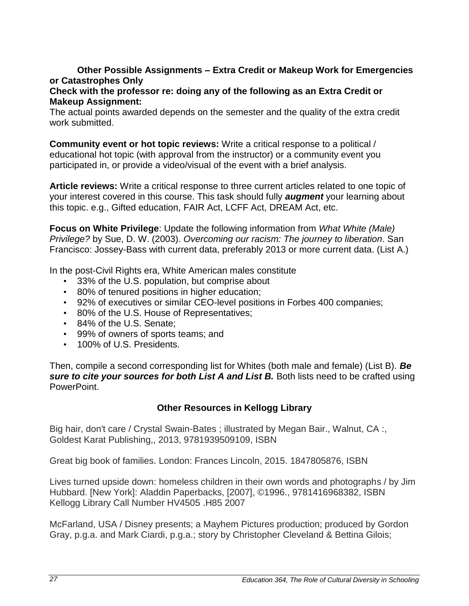#### **Other Possible Assignments – Extra Credit or Makeup Work for Emergencies or Catastrophes Only**

#### **Check with the professor re: doing any of the following as an Extra Credit or Makeup Assignment:**

The actual points awarded depends on the semester and the quality of the extra credit work submitted.

**Community event or hot topic reviews:** Write a critical response to a political / educational hot topic (with approval from the instructor) or a community event you participated in, or provide a video/visual of the event with a brief analysis.

**Article reviews:** Write a critical response to three current articles related to one topic of your interest covered in this course. This task should fully *augment* your learning about this topic. e.g., Gifted education, FAIR Act, LCFF Act, DREAM Act, etc.

**Focus on White Privilege**: Update the following information from *What White (Male) Privilege?* by Sue, D. W. (2003). *Overcoming our racism: The journey to liberation*. San Francisco: Jossey-Bass with current data, preferably 2013 or more current data. (List A.)

In the post-Civil Rights era, White American males constitute

- 33% of the U.S. population, but comprise about
- 80% of tenured positions in higher education;
- 92% of executives or similar CEO-level positions in Forbes 400 companies;
- 80% of the U.S. House of Representatives;
- 84% of the U.S. Senate;
- 99% of owners of sports teams; and
- 100% of U.S. Presidents.

Then, compile a second corresponding list for Whites (both male and female) (List B). *Be*  **sure to cite your sources for both List A and List B.** Both lists need to be crafted using PowerPoint.

#### **Other Resources in Kellogg Library**

Big hair, don't care / Crystal Swain-Bates ; illustrated by Megan Bair., Walnut, CA :, Goldest Karat Publishing,, 2013, 9781939509109, ISBN

Great big book of families. London: Frances Lincoln, 2015. 1847805876, ISBN

Lives turned upside down: homeless children in their own words and photographs / by Jim Hubbard. [New York]: Aladdin Paperbacks, [2007], ©1996., 9781416968382, ISBN Kellogg Library Call Number HV4505 .H85 2007

McFarland, USA / Disney presents; a Mayhem Pictures production; produced by Gordon Gray, p.g.a. and Mark Ciardi, p.g.a.; story by Christopher Cleveland & Bettina Gilois;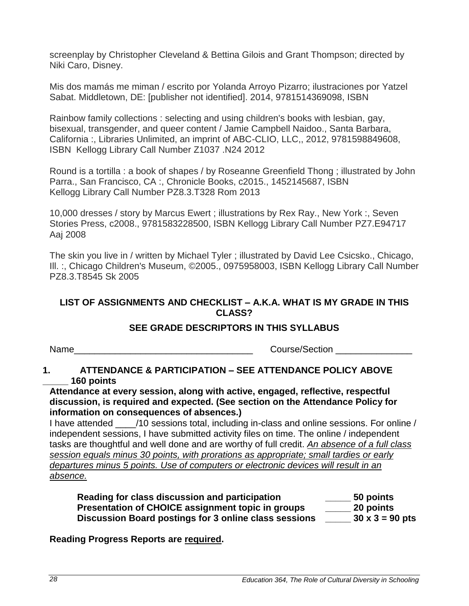screenplay by Christopher Cleveland & Bettina Gilois and Grant Thompson; directed by Niki Caro, Disney.

Mis dos mamás me miman / escrito por Yolanda Arroyo Pizarro; ilustraciones por Yatzel Sabat. Middletown, DE: [publisher not identified]. 2014, 9781514369098, ISBN

Rainbow family collections : selecting and using children's books with lesbian, gay, bisexual, transgender, and queer content / Jamie Campbell Naidoo., Santa Barbara, California :, Libraries Unlimited, an imprint of ABC-CLIO, LLC,, 2012, 9781598849608, ISBN Kellogg Library Call Number Z1037 .N24 2012

Round is a tortilla : a book of shapes / by Roseanne Greenfield Thong ; illustrated by John Parra., San Francisco, CA :, Chronicle Books, c2015., 1452145687, ISBN Kellogg Library Call Number PZ8.3.T328 Rom 2013

10,000 dresses / story by Marcus Ewert ; illustrations by Rex Ray., New York :, Seven Stories Press, c2008., 9781583228500, ISBN Kellogg Library Call Number PZ7.E94717 Aaj 2008

The skin you live in / written by Michael Tyler ; illustrated by David Lee Csicsko., Chicago, Ill. :, Chicago Children's Museum, ©2005., 0975958003, ISBN Kellogg Library Call Number PZ8.3.T8545 Sk 2005

### <span id="page-27-0"></span>**LIST OF ASSIGNMENTS AND CHECKLIST – A.K.A. WHAT IS MY GRADE IN THIS CLASS?**

#### **SEE GRADE DESCRIPTORS IN THIS SYLLABUS**

Name **Name Name Example 2** and the section  $\alpha$  course/Section  $\alpha$ 

### **1. ATTENDANCE & PARTICIPATION – SEE ATTENDANCE POLICY ABOVE \_\_\_\_\_ 160 points**

**Attendance at every session, along with active, engaged, reflective, respectful discussion, is required and expected. (See section on the Attendance Policy for information on consequences of absences.)** 

I have attended 10 sessions total, including in-class and online sessions. For online / independent sessions, I have submitted activity files on time. The online / independent tasks are thoughtful and well done and are worthy of full credit. *An absence of a full class session equals minus 30 points, with prorations as appropriate; small tardies or early departures minus 5 points. Use of computers or electronic devices will result in an absence.*

| Reading for class discussion and participation        | 50 points              |
|-------------------------------------------------------|------------------------|
| Presentation of CHOICE assignment topic in groups     | 20 points              |
| Discussion Board postings for 3 online class sessions | $30 \times 3 = 90$ pts |

#### **Reading Progress Reports are required.**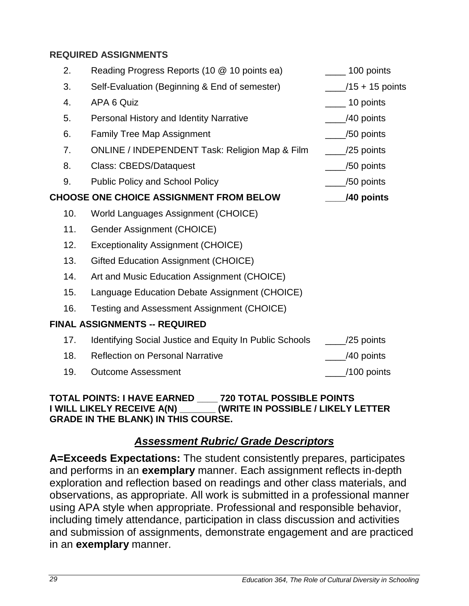### **REQUIRED ASSIGNMENTS**

| 2.  | Reading Progress Reports (10 @ 10 points ea)              | 100 points                    |
|-----|-----------------------------------------------------------|-------------------------------|
| 3.  | Self-Evaluation (Beginning & End of semester)             | $\frac{1}{2}$ /15 + 15 points |
| 4.  | APA 6 Quiz                                                | $\frac{1}{2}$ 10 points       |
| 5.  | Personal History and Identity Narrative                   | /40 points                    |
| 6.  | <b>Family Tree Map Assignment</b>                         | /50 points                    |
| 7.  | <b>ONLINE / INDEPENDENT Task: Religion Map &amp; Film</b> | $\frac{1}{25}$ points         |
| 8.  | <b>Class: CBEDS/Dataquest</b>                             | /50 points                    |
| 9.  | <b>Public Policy and School Policy</b>                    | $\frac{1}{2}$ /50 points      |
|     | <b>CHOOSE ONE CHOICE ASSIGNMENT FROM BELOW</b>            | /40 points                    |
| 10. | World Languages Assignment (CHOICE)                       |                               |
| 11. | Gender Assignment (CHOICE)                                |                               |
| 12. | <b>Exceptionality Assignment (CHOICE)</b>                 |                               |
| 13. | Gifted Education Assignment (CHOICE)                      |                               |
| 14. | Art and Music Education Assignment (CHOICE)               |                               |
| 15. | Language Education Debate Assignment (CHOICE)             |                               |
| 16. | Testing and Assessment Assignment (CHOICE)                |                               |
|     | <b>FINAL ASSIGNMENTS -- REQUIRED</b>                      |                               |
| 17. | Identifying Social Justice and Equity In Public Schools   | /25 points                    |
| 18. | <b>Reflection on Personal Narrative</b>                   | /40 points                    |
| 19. | <b>Outcome Assessment</b>                                 | /100 points                   |
|     |                                                           |                               |

#### **TOTAL POINTS: I HAVE EARNED \_\_\_\_ 720 TOTAL POSSIBLE POINTS INGLE IN POSSIBLE / LIKELY LETTER GRADE IN THE BLANK) IN THIS COURSE.**

## *Assessment Rubric/ Grade Descriptors*

<span id="page-28-0"></span>**A=Exceeds Expectations:** The student consistently prepares, participates and performs in an **exemplary** manner. Each assignment reflects in-depth exploration and reflection based on readings and other class materials, and observations, as appropriate. All work is submitted in a professional manner using APA style when appropriate. Professional and responsible behavior, including timely attendance, participation in class discussion and activities and submission of assignments, demonstrate engagement and are practiced in an **exemplary** manner.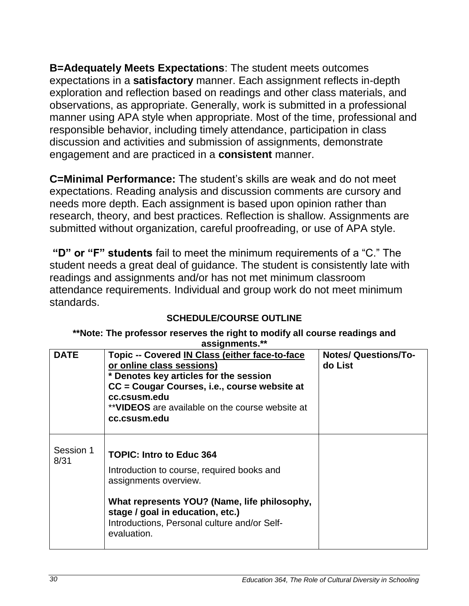**B=Adequately Meets Expectations**: The student meets outcomes expectations in a **satisfactory** manner. Each assignment reflects in-depth exploration and reflection based on readings and other class materials, and observations, as appropriate. Generally, work is submitted in a professional manner using APA style when appropriate. Most of the time, professional and responsible behavior, including timely attendance, participation in class discussion and activities and submission of assignments, demonstrate engagement and are practiced in a **consistent** manner.

**C=Minimal Performance:** The student's skills are weak and do not meet expectations. Reading analysis and discussion comments are cursory and needs more depth. Each assignment is based upon opinion rather than research, theory, and best practices. Reflection is shallow. Assignments are submitted without organization, careful proofreading, or use of APA style.

**"D" or "F" students** fail to meet the minimum requirements of a "C." The student needs a great deal of guidance. The student is consistently late with readings and assignments and/or has not met minimum classroom attendance requirements. Individual and group work do not meet minimum standards.

#### <span id="page-29-0"></span>**\*\*Note: The professor reserves the right to modify all course readings and assignments.\*\***

<span id="page-29-1"></span>

| <b>DATE</b>       | Topic -- Covered IN Class (either face-to-face<br>or online class sessions)<br>* Denotes key articles for the session<br>CC = Cougar Courses, i.e., course website at<br>cc.csusm.edu<br>**VIDEOS are available on the course website at<br>cc.csusm.edu  | <b>Notes/ Questions/To-</b><br>do List |
|-------------------|-----------------------------------------------------------------------------------------------------------------------------------------------------------------------------------------------------------------------------------------------------------|----------------------------------------|
| Session 1<br>8/31 | <b>TOPIC: Intro to Educ 364</b><br>Introduction to course, required books and<br>assignments overview.<br>What represents YOU? (Name, life philosophy,<br>stage / goal in education, etc.)<br>Introductions, Personal culture and/or Self-<br>evaluation. |                                        |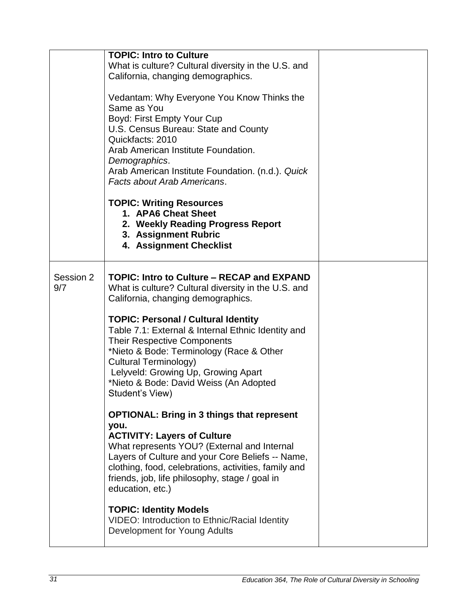|                  | <b>TOPIC: Intro to Culture</b><br>What is culture? Cultural diversity in the U.S. and<br>California, changing demographics.<br>Vedantam: Why Everyone You Know Thinks the<br>Same as You<br>Boyd: First Empty Your Cup<br>U.S. Census Bureau: State and County<br>Quickfacts: 2010<br>Arab American Institute Foundation.<br>Demographics.<br>Arab American Institute Foundation. (n.d.). Quick<br>Facts about Arab Americans.<br><b>TOPIC: Writing Resources</b><br>1. APA6 Cheat Sheet<br>2. Weekly Reading Progress Report<br>3. Assignment Rubric<br>4. Assignment Checklist |  |
|------------------|----------------------------------------------------------------------------------------------------------------------------------------------------------------------------------------------------------------------------------------------------------------------------------------------------------------------------------------------------------------------------------------------------------------------------------------------------------------------------------------------------------------------------------------------------------------------------------|--|
| Session 2<br>9/7 | <b>TOPIC: Intro to Culture - RECAP and EXPAND</b><br>What is culture? Cultural diversity in the U.S. and<br>California, changing demographics.<br><b>TOPIC: Personal / Cultural Identity</b><br>Table 7.1: External & Internal Ethnic Identity and<br><b>Their Respective Components</b><br>*Nieto & Bode: Terminology (Race & Other<br><b>Cultural Terminology)</b><br>Lelyveld: Growing Up, Growing Apart<br>*Nieto & Bode: David Weiss (An Adopted<br>Student's View)                                                                                                         |  |
|                  | <b>OPTIONAL: Bring in 3 things that represent</b><br>you.<br><b>ACTIVITY: Layers of Culture</b><br>What represents YOU? (External and Internal<br>Layers of Culture and your Core Beliefs -- Name,<br>clothing, food, celebrations, activities, family and<br>friends, job, life philosophy, stage / goal in<br>education, etc.)                                                                                                                                                                                                                                                 |  |
|                  | <b>TOPIC: Identity Models</b><br>VIDEO: Introduction to Ethnic/Racial Identity<br>Development for Young Adults                                                                                                                                                                                                                                                                                                                                                                                                                                                                   |  |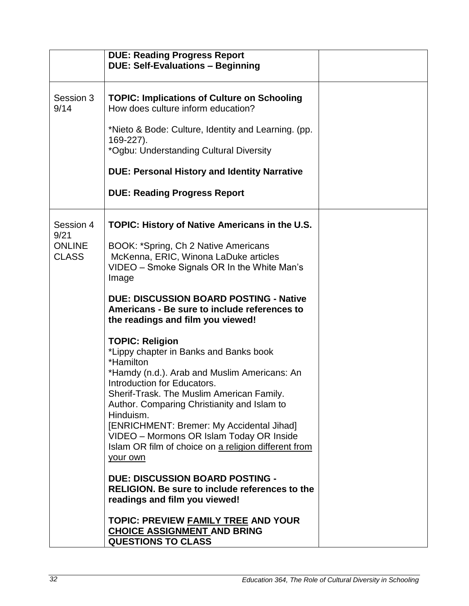|                                                    | <b>DUE: Reading Progress Report</b><br><b>DUE: Self-Evaluations - Beginning</b>                                                                                                                                                                                                                                                                                                                                                                                                                                                                                                                                                                                                         |  |
|----------------------------------------------------|-----------------------------------------------------------------------------------------------------------------------------------------------------------------------------------------------------------------------------------------------------------------------------------------------------------------------------------------------------------------------------------------------------------------------------------------------------------------------------------------------------------------------------------------------------------------------------------------------------------------------------------------------------------------------------------------|--|
| Session 3<br>9/14                                  | <b>TOPIC: Implications of Culture on Schooling</b><br>How does culture inform education?<br>*Nieto & Bode: Culture, Identity and Learning. (pp.<br>169-227).<br>*Ogbu: Understanding Cultural Diversity<br><b>DUE: Personal History and Identity Narrative</b><br><b>DUE: Reading Progress Report</b>                                                                                                                                                                                                                                                                                                                                                                                   |  |
| Session 4<br>9/21<br><b>ONLINE</b><br><b>CLASS</b> | <b>TOPIC: History of Native Americans in the U.S.</b><br>BOOK: *Spring, Ch 2 Native Americans<br>McKenna, ERIC, Winona LaDuke articles<br>VIDEO – Smoke Signals OR In the White Man's<br>Image<br><b>DUE: DISCUSSION BOARD POSTING - Native</b><br>Americans - Be sure to include references to<br>the readings and film you viewed!                                                                                                                                                                                                                                                                                                                                                    |  |
|                                                    | <b>TOPIC: Religion</b><br>*Lippy chapter in Banks and Banks book<br>*Hamilton<br>*Hamdy (n.d.). Arab and Muslim Americans: An<br>Introduction for Educators.<br>Sherif-Trask. The Muslim American Family.<br>Author. Comparing Christianity and Islam to<br>Hinduism.<br>[ENRICHMENT: Bremer: My Accidental Jihad]<br>VIDEO - Mormons OR Islam Today OR Inside<br>Islam OR film of choice on a religion different from<br>your own<br><b>DUE: DISCUSSION BOARD POSTING -</b><br><b>RELIGION. Be sure to include references to the</b><br>readings and film you viewed!<br><b>TOPIC: PREVIEW FAMILY TREE AND YOUR</b><br><b>CHOICE ASSIGNMENT AND BRING</b><br><b>QUESTIONS TO CLASS</b> |  |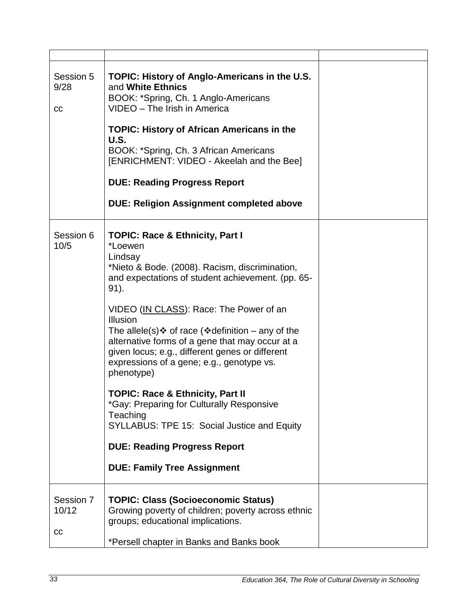| Session 5<br>9/28<br>cc  | TOPIC: History of Anglo-Americans in the U.S.<br>and White Ethnics<br>BOOK: *Spring, Ch. 1 Anglo-Americans<br>VIDEO - The Irish in America<br><b>TOPIC: History of African Americans in the</b><br>U.S.<br>BOOK: *Spring, Ch. 3 African Americans<br>[ENRICHMENT: VIDEO - Akeelah and the Bee]<br><b>DUE: Reading Progress Report</b>                                                                                                                                                                                                                                                                                                                                                             |  |
|--------------------------|---------------------------------------------------------------------------------------------------------------------------------------------------------------------------------------------------------------------------------------------------------------------------------------------------------------------------------------------------------------------------------------------------------------------------------------------------------------------------------------------------------------------------------------------------------------------------------------------------------------------------------------------------------------------------------------------------|--|
|                          | <b>DUE: Religion Assignment completed above</b>                                                                                                                                                                                                                                                                                                                                                                                                                                                                                                                                                                                                                                                   |  |
| Session 6<br>10/5        | <b>TOPIC: Race &amp; Ethnicity, Part I</b><br>*Loewen<br>Lindsay<br>*Nieto & Bode. (2008). Racism, discrimination,<br>and expectations of student achievement. (pp. 65-<br>91).<br>VIDEO (IN CLASS): Race: The Power of an<br>Illusion<br>The allele(s) $\div$ of race ( $\div$ definition – any of the<br>alternative forms of a gene that may occur at a<br>given locus; e.g., different genes or different<br>expressions of a gene; e.g., genotype vs.<br>phenotype)<br>TOPIC: Race & Ethnicity, Part II<br>*Gay: Preparing for Culturally Responsive<br>Teaching<br>SYLLABUS: TPE 15: Social Justice and Equity<br><b>DUE: Reading Progress Report</b><br><b>DUE: Family Tree Assignment</b> |  |
| Session 7<br>10/12<br>cc | <b>TOPIC: Class (Socioeconomic Status)</b><br>Growing poverty of children; poverty across ethnic<br>groups; educational implications.<br>*Persell chapter in Banks and Banks book                                                                                                                                                                                                                                                                                                                                                                                                                                                                                                                 |  |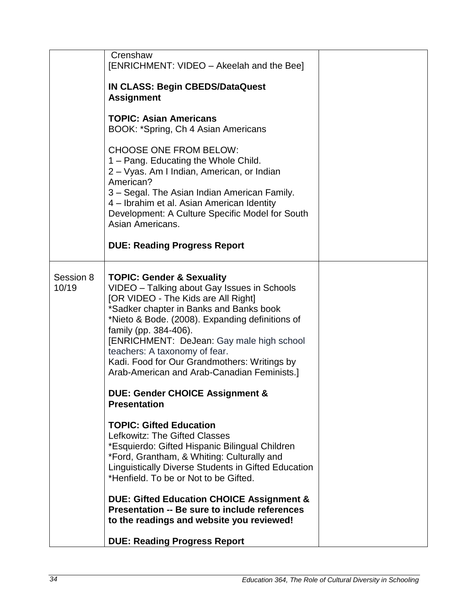|                    | Crenshaw<br>[ENRICHMENT: VIDEO - Akeelah and the Bee]                                                                                                                                                                                                                                                                                                                                                                                                                                               |  |
|--------------------|-----------------------------------------------------------------------------------------------------------------------------------------------------------------------------------------------------------------------------------------------------------------------------------------------------------------------------------------------------------------------------------------------------------------------------------------------------------------------------------------------------|--|
|                    | <b>IN CLASS: Begin CBEDS/DataQuest</b><br><b>Assignment</b>                                                                                                                                                                                                                                                                                                                                                                                                                                         |  |
|                    | <b>TOPIC: Asian Americans</b><br>BOOK: *Spring, Ch 4 Asian Americans                                                                                                                                                                                                                                                                                                                                                                                                                                |  |
|                    | <b>CHOOSE ONE FROM BELOW:</b><br>1 - Pang. Educating the Whole Child.<br>2 – Vyas. Am I Indian, American, or Indian<br>American?<br>3 – Segal. The Asian Indian American Family.<br>4 – Ibrahim et al. Asian American Identity<br>Development: A Culture Specific Model for South<br>Asian Americans.                                                                                                                                                                                               |  |
|                    | <b>DUE: Reading Progress Report</b>                                                                                                                                                                                                                                                                                                                                                                                                                                                                 |  |
| Session 8<br>10/19 | <b>TOPIC: Gender &amp; Sexuality</b><br>VIDEO - Talking about Gay Issues in Schools<br>[OR VIDEO - The Kids are All Right]<br>*Sadker chapter in Banks and Banks book<br>*Nieto & Bode. (2008). Expanding definitions of<br>family (pp. 384-406).<br>[ENRICHMENT: DeJean: Gay male high school<br>teachers: A taxonomy of fear.<br>Kadi. Food for Our Grandmothers: Writings by<br>Arab-American and Arab-Canadian Feminists.]<br><b>DUE: Gender CHOICE Assignment &amp;</b><br><b>Presentation</b> |  |
|                    | <b>TOPIC: Gifted Education</b><br>Lefkowitz: The Gifted Classes<br>*Esquierdo: Gifted Hispanic Bilingual Children<br>*Ford, Grantham, & Whiting: Culturally and<br>Linguistically Diverse Students in Gifted Education<br>*Henfield. To be or Not to be Gifted.                                                                                                                                                                                                                                     |  |
|                    | <b>DUE: Gifted Education CHOICE Assignment &amp;</b><br>Presentation -- Be sure to include references<br>to the readings and website you reviewed!                                                                                                                                                                                                                                                                                                                                                  |  |
|                    | <b>DUE: Reading Progress Report</b>                                                                                                                                                                                                                                                                                                                                                                                                                                                                 |  |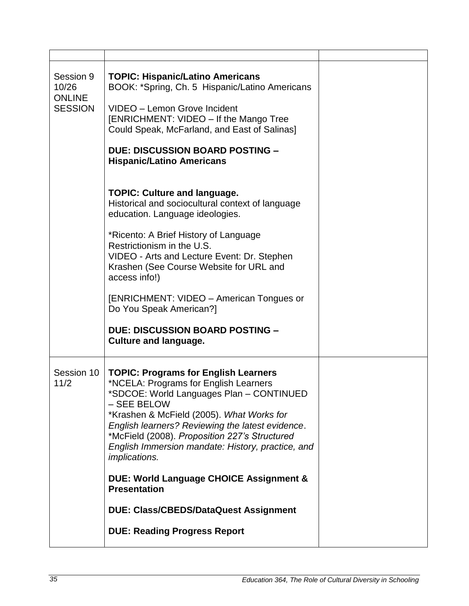| Session 9<br>10/26<br><b>ONLINE</b><br><b>SESSION</b> | <b>TOPIC: Hispanic/Latino Americans</b><br>BOOK: *Spring, Ch. 5 Hispanic/Latino Americans<br>VIDEO - Lemon Grove Incident<br>[ENRICHMENT: VIDEO - If the Mango Tree<br>Could Speak, McFarland, and East of Salinas]<br><b>DUE: DISCUSSION BOARD POSTING -</b><br><b>Hispanic/Latino Americans</b>                                                                                                                                                                                                                                       |  |
|-------------------------------------------------------|-----------------------------------------------------------------------------------------------------------------------------------------------------------------------------------------------------------------------------------------------------------------------------------------------------------------------------------------------------------------------------------------------------------------------------------------------------------------------------------------------------------------------------------------|--|
|                                                       | <b>TOPIC: Culture and language.</b><br>Historical and sociocultural context of language<br>education. Language ideologies.<br>*Ricento: A Brief History of Language<br>Restrictionism in the U.S.<br>VIDEO - Arts and Lecture Event: Dr. Stephen<br>Krashen (See Course Website for URL and<br>access info!)<br>[ENRICHMENT: VIDEO - American Tongues or<br>Do You Speak American?]<br><b>DUE: DISCUSSION BOARD POSTING -</b><br><b>Culture and language.</b>                                                                           |  |
| Session 10<br>11/2                                    | <b>TOPIC: Programs for English Learners</b><br>*NCELA: Programs for English Learners<br>*SDCOE: World Languages Plan - CONTINUED<br>- SEE BELOW<br>*Krashen & McField (2005). What Works for<br>English learners? Reviewing the latest evidence.<br>*McField (2008). Proposition 227's Structured<br>English Immersion mandate: History, practice, and<br><i>implications.</i><br>DUE: World Language CHOICE Assignment &<br><b>Presentation</b><br><b>DUE: Class/CBEDS/DataQuest Assignment</b><br><b>DUE: Reading Progress Report</b> |  |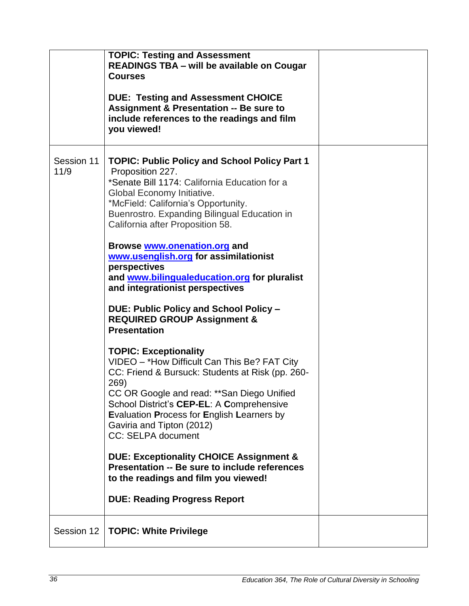|                    | <b>TOPIC: Testing and Assessment</b><br><b>READINGS TBA - will be available on Cougar</b><br><b>Courses</b><br><b>DUE: Testing and Assessment CHOICE</b><br><b>Assignment &amp; Presentation -- Be sure to</b><br>include references to the readings and film<br>you viewed!                                                                                                |  |
|--------------------|-----------------------------------------------------------------------------------------------------------------------------------------------------------------------------------------------------------------------------------------------------------------------------------------------------------------------------------------------------------------------------|--|
| Session 11<br>11/9 | <b>TOPIC: Public Policy and School Policy Part 1</b><br>Proposition 227.<br>*Senate Bill 1174: California Education for a<br>Global Economy Initiative.<br>*McField: California's Opportunity.<br>Buenrostro. Expanding Bilingual Education in<br>California after Proposition 58.<br>Browse www.onenation.org and<br>www.usenglish.org for assimilationist<br>perspectives |  |
|                    | and www.bilingualeducation.org for pluralist<br>and integrationist perspectives                                                                                                                                                                                                                                                                                             |  |
|                    | DUE: Public Policy and School Policy -<br><b>REQUIRED GROUP Assignment &amp;</b><br><b>Presentation</b>                                                                                                                                                                                                                                                                     |  |
|                    | <b>TOPIC: Exceptionality</b><br>VIDEO - *How Difficult Can This Be? FAT City<br>CC: Friend & Bursuck: Students at Risk (pp. 260-<br>269)<br>CC OR Google and read: ** San Diego Unified<br>School District's CEP-EL: A Comprehensive<br>Evaluation Process for English Learners by<br>Gaviria and Tipton (2012)<br><b>CC: SELPA document</b>                                |  |
|                    | <b>DUE: Exceptionality CHOICE Assignment &amp;</b><br><b>Presentation -- Be sure to include references</b><br>to the readings and film you viewed!                                                                                                                                                                                                                          |  |
|                    | <b>DUE: Reading Progress Report</b>                                                                                                                                                                                                                                                                                                                                         |  |
| Session 12         | <b>TOPIC: White Privilege</b>                                                                                                                                                                                                                                                                                                                                               |  |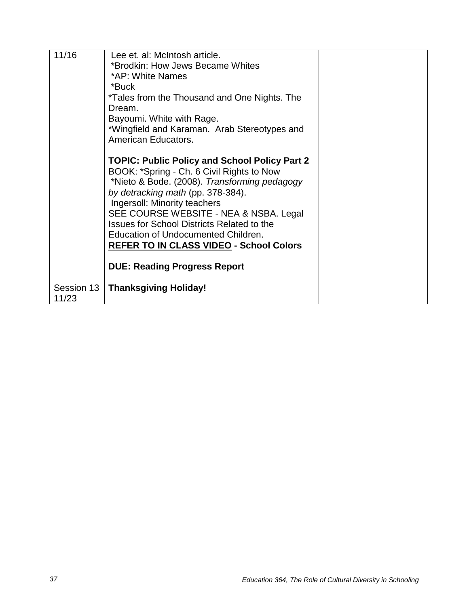| 11/16               | Lee et. al: McIntosh article.<br>*Brodkin: How Jews Became Whites<br>*AP: White Names<br>*Buck<br>*Tales from the Thousand and One Nights. The<br>Dream.<br>Bayoumi. White with Rage.<br>*Wingfield and Karaman. Arab Stereotypes and                                                                                                                                                                                                        |  |
|---------------------|----------------------------------------------------------------------------------------------------------------------------------------------------------------------------------------------------------------------------------------------------------------------------------------------------------------------------------------------------------------------------------------------------------------------------------------------|--|
|                     | American Educators.<br><b>TOPIC: Public Policy and School Policy Part 2</b><br>BOOK: *Spring - Ch. 6 Civil Rights to Now<br>*Nieto & Bode. (2008). Transforming pedagogy<br>by detracking math (pp. 378-384).<br>Ingersoll: Minority teachers<br>SEE COURSE WEBSITE - NEA & NSBA. Legal<br><b>Issues for School Districts Related to the</b><br><b>Education of Undocumented Children.</b><br><b>REFER TO IN CLASS VIDEO - School Colors</b> |  |
|                     | <b>DUE: Reading Progress Report</b>                                                                                                                                                                                                                                                                                                                                                                                                          |  |
| Session 13<br>11/23 | <b>Thanksgiving Holiday!</b>                                                                                                                                                                                                                                                                                                                                                                                                                 |  |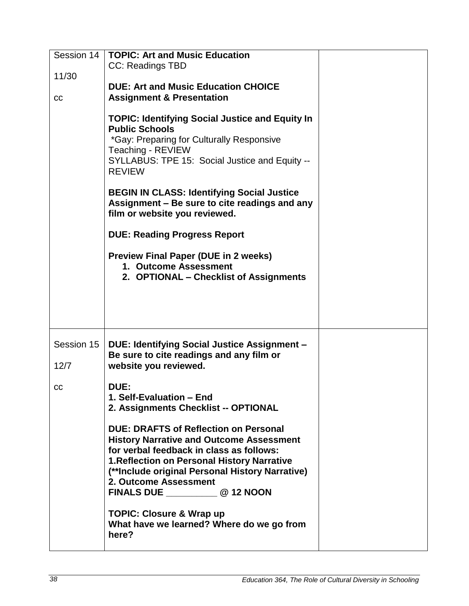| Session 14         | <b>TOPIC: Art and Music Education</b><br><b>CC: Readings TBD</b>                                                                                                                                                                                                                                                     |  |
|--------------------|----------------------------------------------------------------------------------------------------------------------------------------------------------------------------------------------------------------------------------------------------------------------------------------------------------------------|--|
| 11/30              |                                                                                                                                                                                                                                                                                                                      |  |
| cc                 | <b>DUE: Art and Music Education CHOICE</b><br><b>Assignment &amp; Presentation</b>                                                                                                                                                                                                                                   |  |
|                    | <b>TOPIC: Identifying Social Justice and Equity In</b><br><b>Public Schools</b><br>*Gay: Preparing for Culturally Responsive<br>Teaching - REVIEW<br>SYLLABUS: TPE 15: Social Justice and Equity --<br><b>REVIEW</b><br><b>BEGIN IN CLASS: Identifying Social Justice</b>                                            |  |
|                    | Assignment – Be sure to cite readings and any<br>film or website you reviewed.                                                                                                                                                                                                                                       |  |
|                    | <b>DUE: Reading Progress Report</b>                                                                                                                                                                                                                                                                                  |  |
|                    | <b>Preview Final Paper (DUE in 2 weeks)</b><br>1. Outcome Assessment<br>2. OPTIONAL – Checklist of Assignments                                                                                                                                                                                                       |  |
| Session 15<br>12/7 | DUE: Identifying Social Justice Assignment -<br>Be sure to cite readings and any film or<br>website you reviewed.                                                                                                                                                                                                    |  |
| cc                 | <b>DUE:</b><br>1. Self-Evaluation - End<br>2. Assignments Checklist -- OPTIONAL                                                                                                                                                                                                                                      |  |
|                    | <b>DUE: DRAFTS of Reflection on Personal</b><br><b>History Narrative and Outcome Assessment</b><br>for verbal feedback in class as follows:<br><b>1. Reflection on Personal History Narrative</b><br>(**Include original Personal History Narrative)<br>2. Outcome Assessment<br>FINALS DUE ______________ @ 12 NOON |  |
|                    | <b>TOPIC: Closure &amp; Wrap up</b><br>What have we learned? Where do we go from<br>here?                                                                                                                                                                                                                            |  |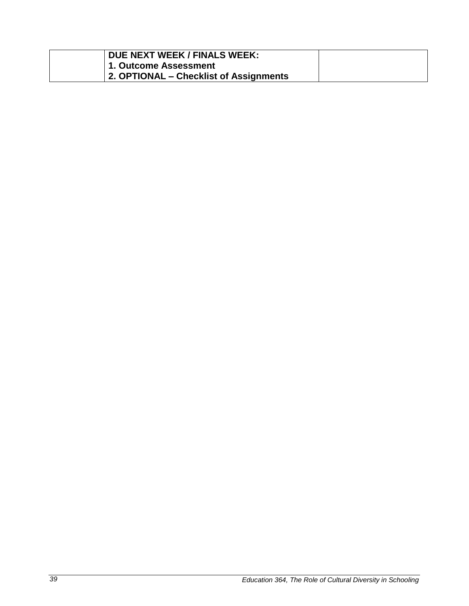| DUE NEXT WEEK / FINALS WEEK:           |  |
|----------------------------------------|--|
| 1. Outcome Assessment                  |  |
| 2. OPTIONAL – Checklist of Assignments |  |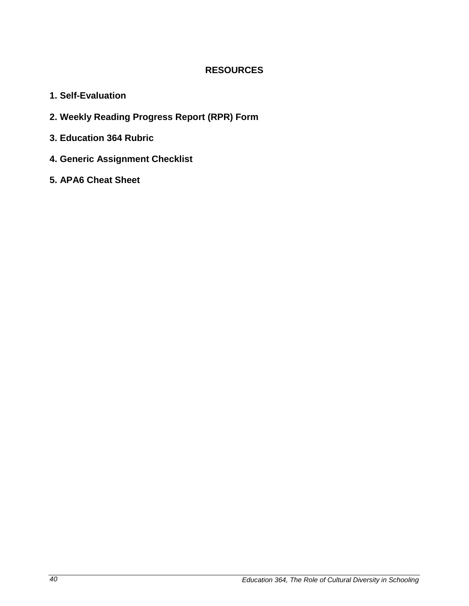#### **RESOURCES**

- <span id="page-39-0"></span>**1. Self-Evaluation**
- **2. Weekly Reading Progress Report (RPR) Form**
- **3. Education 364 Rubric**
- **4. Generic Assignment Checklist**
- **5. APA6 Cheat Sheet**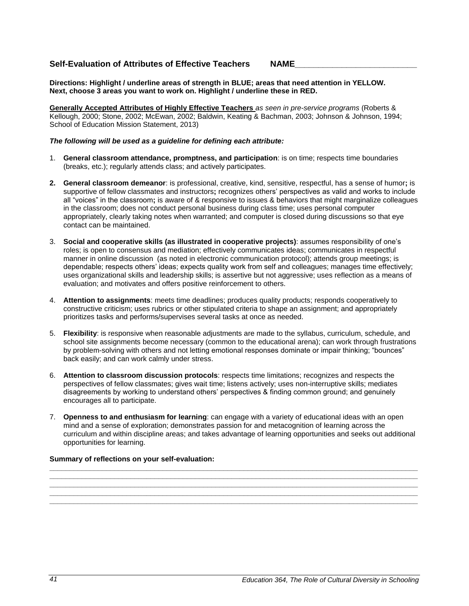#### **Self-Evaluation of Attributes of Effective Teachers NAME\_\_\_\_\_\_\_\_\_\_\_\_\_\_\_\_\_\_\_\_\_\_\_\_\_\_**

**Directions: Highlight / underline areas of strength in BLUE; areas that need attention in YELLOW. Next, choose 3 areas you want to work on. Highlight / underline these in RED.**

**Generally Accepted Attributes of Highly Effective Teachers** *as seen in pre-service programs* (Roberts & Kellough, 2000; Stone, 2002; McEwan, 2002; Baldwin, Keating & Bachman, 2003; Johnson & Johnson, 1994; School of Education Mission Statement, 2013)

#### *The following will be used as a guideline for defining each attribute:*

- 1. **General classroom attendance, promptness, and participation**: is on time; respects time boundaries (breaks, etc.); regularly attends class; and actively participates.
- **2. General classroom demeanor**: is professional, creative, kind, sensitive, respectful, has a sense of humor**;** is supportive of fellow classmates and instructors**;** recognizes others' perspectives as valid and works to include all "voices" in the classroom**;** is aware of & responsive to issues & behaviors that might marginalize colleagues in the classroom; does not conduct personal business during class time; uses personal computer appropriately, clearly taking notes when warranted; and computer is closed during discussions so that eye contact can be maintained.
- 3. **Social and cooperative skills (as illustrated in cooperative projects)**: assumes responsibility of one's roles; is open to consensus and mediation; effectively communicates ideas; communicates in respectful manner in online discussion (as noted in electronic communication protocol); attends group meetings; is dependable; respects others' ideas; expects quality work from self and colleagues; manages time effectively; uses organizational skills and leadership skills; is assertive but not aggressive; uses reflection as a means of evaluation; and motivates and offers positive reinforcement to others.
- 4. **Attention to assignments**: meets time deadlines; produces quality products; responds cooperatively to constructive criticism; uses rubrics or other stipulated criteria to shape an assignment; and appropriately prioritizes tasks and performs/supervises several tasks at once as needed.
- 5. **Flexibility**: is responsive when reasonable adjustments are made to the syllabus, curriculum, schedule, and school site assignments become necessary (common to the educational arena); can work through frustrations by problem-solving with others and not letting emotional responses dominate or impair thinking; "bounces" back easily; and can work calmly under stress.
- 6. **Attention to classroom discussion protocols**: respects time limitations; recognizes and respects the perspectives of fellow classmates; gives wait time; listens actively; uses non-interruptive skills; mediates disagreements by working to understand others' perspectives & finding common ground; and genuinely encourages all to participate.
- 7. **Openness to and enthusiasm for learning**: can engage with a variety of educational ideas with an open mind and a sense of exploration; demonstrates passion for and metacognition of learning across the curriculum and within discipline areas; and takes advantage of learning opportunities and seeks out additional opportunities for learning.

**\_\_\_\_\_\_\_\_\_\_\_\_\_\_\_\_\_\_\_\_\_\_\_\_\_\_\_\_\_\_\_\_\_\_\_\_\_\_\_\_\_\_\_\_\_\_\_\_\_\_\_\_\_\_\_\_\_\_\_\_\_\_\_\_\_\_\_\_\_\_\_\_\_\_\_\_\_\_\_\_\_\_\_\_\_\_\_\_\_\_\_ \_\_\_\_\_\_\_\_\_\_\_\_\_\_\_\_\_\_\_\_\_\_\_\_\_\_\_\_\_\_\_\_\_\_\_\_\_\_\_\_\_\_\_\_\_\_\_\_\_\_\_\_\_\_\_\_\_\_\_\_\_\_\_\_\_\_\_\_\_\_\_\_\_\_\_\_\_\_\_\_\_\_\_\_\_\_\_\_\_\_\_ \_\_\_\_\_\_\_\_\_\_\_\_\_\_\_\_\_\_\_\_\_\_\_\_\_\_\_\_\_\_\_\_\_\_\_\_\_\_\_\_\_\_\_\_\_\_\_\_\_\_\_\_\_\_\_\_\_\_\_\_\_\_\_\_\_\_\_\_\_\_\_\_\_\_\_\_\_\_\_\_\_\_\_\_\_\_\_\_\_\_\_ \_\_\_\_\_\_\_\_\_\_\_\_\_\_\_\_\_\_\_\_\_\_\_\_\_\_\_\_\_\_\_\_\_\_\_\_\_\_\_\_\_\_\_\_\_\_\_\_\_\_\_\_\_\_\_\_\_\_\_\_\_\_\_\_\_\_\_\_\_\_\_\_\_\_\_\_\_\_\_\_\_\_\_\_\_\_\_\_\_\_\_ \_\_\_\_\_\_\_\_\_\_\_\_\_\_\_\_\_\_\_\_\_\_\_\_\_\_\_\_\_\_\_\_\_\_\_\_\_\_\_\_\_\_\_\_\_\_\_\_\_\_\_\_\_\_\_\_\_\_\_\_\_\_\_\_\_\_\_\_\_\_\_\_\_\_\_\_\_\_\_\_\_\_\_\_\_\_\_\_\_\_\_**

#### **Summary of reflections on your self-evaluation:**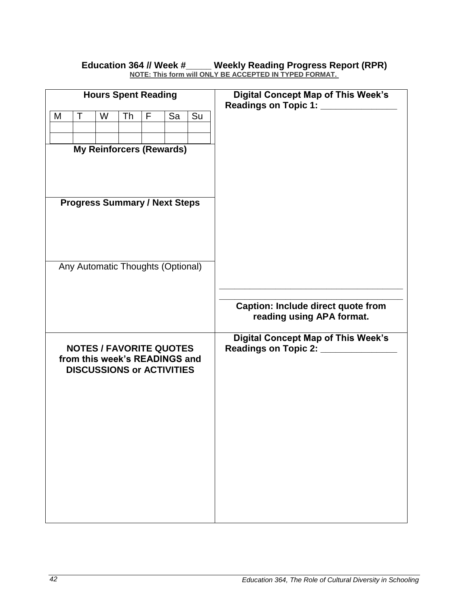| <b>Hours Spent Reading</b>                                      |    | <b>Digital Concept Map of This Week's</b><br>Readings on Topic 1: __________ |
|-----------------------------------------------------------------|----|------------------------------------------------------------------------------|
| $\top$<br>M<br>W<br>Th<br>Sa<br>F.                              | Su |                                                                              |
|                                                                 |    |                                                                              |
| <b>My Reinforcers (Rewards)</b>                                 |    |                                                                              |
|                                                                 |    |                                                                              |
| <b>Progress Summary / Next Steps</b>                            |    |                                                                              |
|                                                                 |    |                                                                              |
| Any Automatic Thoughts (Optional)                               |    |                                                                              |
|                                                                 |    |                                                                              |
|                                                                 |    | <b>Caption: Include direct quote from</b><br>reading using APA format.       |
|                                                                 |    | <b>Digital Concept Map of This Week's</b>                                    |
| <b>NOTES / FAVORITE QUOTES</b><br>from this week's READINGS and |    | Readings on Topic 2: ______________                                          |
| <b>DISCUSSIONS or ACTIVITIES</b>                                |    |                                                                              |
|                                                                 |    |                                                                              |
|                                                                 |    |                                                                              |
|                                                                 |    |                                                                              |
|                                                                 |    |                                                                              |
|                                                                 |    |                                                                              |
|                                                                 |    |                                                                              |
|                                                                 |    |                                                                              |
|                                                                 |    |                                                                              |

#### **Education 364 // Week #\_\_\_\_\_ Weekly Reading Progress Report (RPR) NOTE: This form will ONLY BE ACCEPTED IN TYPED FORMAT.**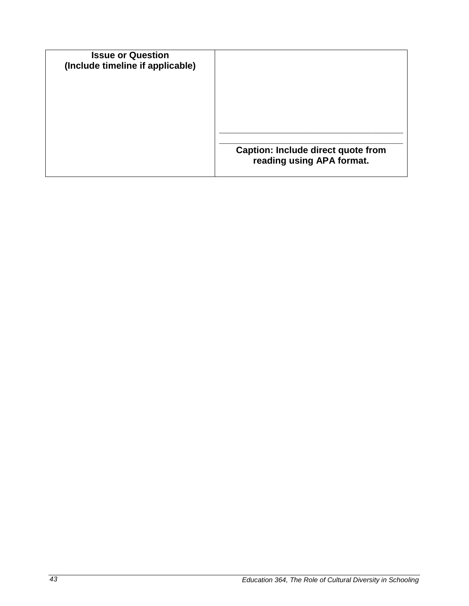| <b>Issue or Question</b><br>(Include timeline if applicable) |                                                                        |
|--------------------------------------------------------------|------------------------------------------------------------------------|
|                                                              |                                                                        |
|                                                              | <b>Caption: Include direct quote from</b><br>reading using APA format. |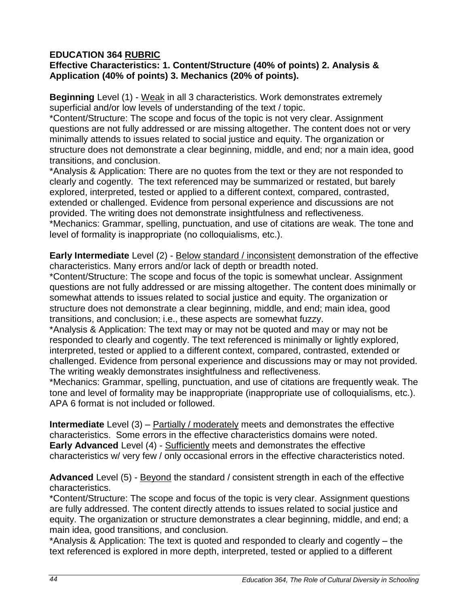## **EDUCATION 364 RUBRIC**

### **Effective Characteristics: 1. Content/Structure (40% of points) 2. Analysis & Application (40% of points) 3. Mechanics (20% of points).**

**Beginning** Level (1) - Weak in all 3 characteristics. Work demonstrates extremely superficial and/or low levels of understanding of the text / topic.

\*Content/Structure: The scope and focus of the topic is not very clear. Assignment questions are not fully addressed or are missing altogether. The content does not or very minimally attends to issues related to social justice and equity. The organization or structure does not demonstrate a clear beginning, middle, and end; nor a main idea, good transitions, and conclusion.

\*Analysis & Application: There are no quotes from the text or they are not responded to clearly and cogently. The text referenced may be summarized or restated, but barely explored, interpreted, tested or applied to a different context, compared, contrasted, extended or challenged. Evidence from personal experience and discussions are not provided. The writing does not demonstrate insightfulness and reflectiveness. \*Mechanics: Grammar, spelling, punctuation, and use of citations are weak. The tone and level of formality is inappropriate (no colloquialisms, etc.).

**Early Intermediate** Level (2) - Below standard / inconsistent demonstration of the effective characteristics. Many errors and/or lack of depth or breadth noted.

\*Content/Structure: The scope and focus of the topic is somewhat unclear. Assignment questions are not fully addressed or are missing altogether. The content does minimally or somewhat attends to issues related to social justice and equity. The organization or structure does not demonstrate a clear beginning, middle, and end; main idea, good transitions, and conclusion; i.e., these aspects are somewhat fuzzy.

\*Analysis & Application: The text may or may not be quoted and may or may not be responded to clearly and cogently. The text referenced is minimally or lightly explored, interpreted, tested or applied to a different context, compared, contrasted, extended or challenged. Evidence from personal experience and discussions may or may not provided. The writing weakly demonstrates insightfulness and reflectiveness.

\*Mechanics: Grammar, spelling, punctuation, and use of citations are frequently weak. The tone and level of formality may be inappropriate (inappropriate use of colloquialisms, etc.). APA 6 format is not included or followed.

**Intermediate** Level (3) – Partially / moderately meets and demonstrates the effective characteristics. Some errors in the effective characteristics domains were noted. **Early Advanced** Level (4) - Sufficiently meets and demonstrates the effective characteristics w/ very few / only occasional errors in the effective characteristics noted.

#### **Advanced** Level (5) - Beyond the standard / consistent strength in each of the effective characteristics.

\*Content/Structure: The scope and focus of the topic is very clear. Assignment questions are fully addressed. The content directly attends to issues related to social justice and equity. The organization or structure demonstrates a clear beginning, middle, and end; a main idea, good transitions, and conclusion.

\*Analysis & Application: The text is quoted and responded to clearly and cogently – the text referenced is explored in more depth, interpreted, tested or applied to a different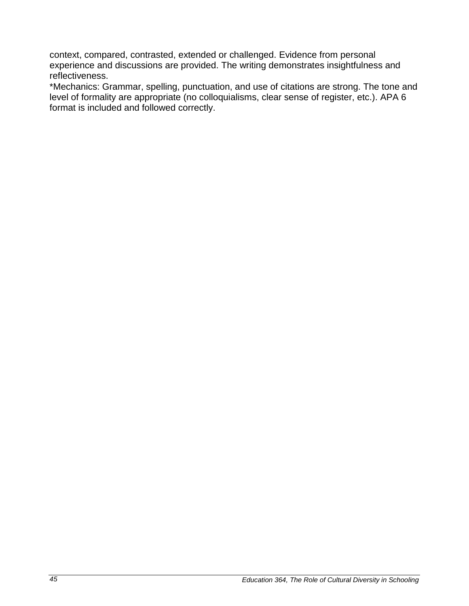context, compared, contrasted, extended or challenged. Evidence from personal experience and discussions are provided. The writing demonstrates insightfulness and reflectiveness.

\*Mechanics: Grammar, spelling, punctuation, and use of citations are strong. The tone and level of formality are appropriate (no colloquialisms, clear sense of register, etc.). APA 6 format is included and followed correctly.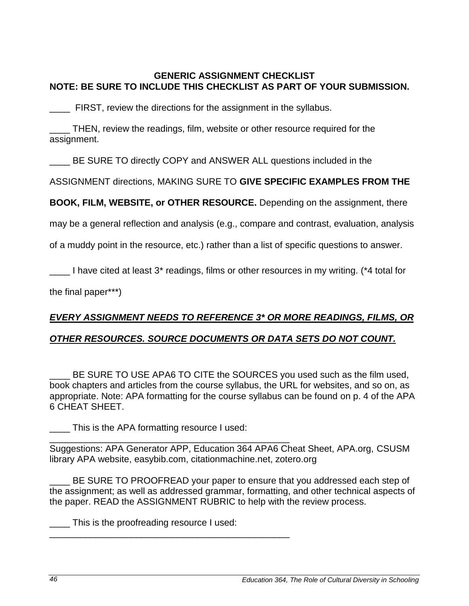#### **GENERIC ASSIGNMENT CHECKLIST NOTE: BE SURE TO INCLUDE THIS CHECKLIST AS PART OF YOUR SUBMISSION.**

**\_\_\_\_** FIRST, review the directions for the assignment in the syllabus.

\_\_\_\_ THEN, review the readings, film, website or other resource required for the assignment.

BE SURE TO directly COPY and ANSWER ALL questions included in the

ASSIGNMENT directions, MAKING SURE TO **GIVE SPECIFIC EXAMPLES FROM THE**

**BOOK, FILM, WEBSITE, or OTHER RESOURCE.** Depending on the assignment, there

may be a general reflection and analysis (e.g., compare and contrast, evaluation, analysis

of a muddy point in the resource, etc.) rather than a list of specific questions to answer.

I have cited at least 3\* readings, films or other resources in my writing. (\*4 total for

the final paper\*\*\*)

# *EVERY ASSIGNMENT NEEDS TO REFERENCE 3\* OR MORE READINGS, FILMS, OR*

## *OTHER RESOURCES. SOURCE DOCUMENTS OR DATA SETS DO NOT COUNT.*

BE SURE TO USE APA6 TO CITE the SOURCES you used such as the film used. book chapters and articles from the course syllabus, the URL for websites, and so on, as appropriate. Note: APA formatting for the course syllabus can be found on p. 4 of the APA 6 CHEAT SHEET.

\_\_\_\_ This is the APA formatting resource I used:

\_\_\_\_\_\_\_\_\_\_\_\_\_\_\_\_\_\_\_\_\_\_\_\_\_\_\_\_\_\_\_\_\_\_\_\_\_\_\_\_\_\_\_\_\_\_\_ Suggestions: APA Generator APP, Education 364 APA6 Cheat Sheet, APA.org, CSUSM library APA website, easybib.com, citationmachine.net, zotero.org

BE SURE TO PROOFREAD your paper to ensure that you addressed each step of the assignment; as well as addressed grammar, formatting, and other technical aspects of the paper. READ the ASSIGNMENT RUBRIC to help with the review process.

This is the proofreading resource I used:

\_\_\_\_\_\_\_\_\_\_\_\_\_\_\_\_\_\_\_\_\_\_\_\_\_\_\_\_\_\_\_\_\_\_\_\_\_\_\_\_\_\_\_\_\_\_\_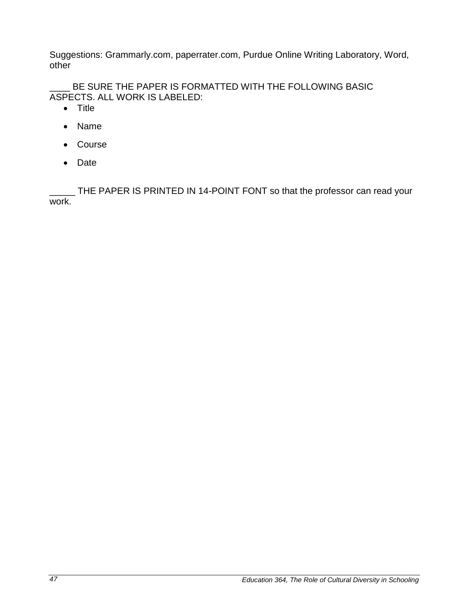Suggestions: Grammarly.com, paperrater.com, Purdue Online Writing Laboratory, Word, other

BE SURE THE PAPER IS FORMATTED WITH THE FOLLOWING BASIC ASPECTS. ALL WORK IS LABELED:

- Title
- Name
- Course
- Date

\_ THE PAPER IS PRINTED IN 14-POINT FONT so that the professor can read your work.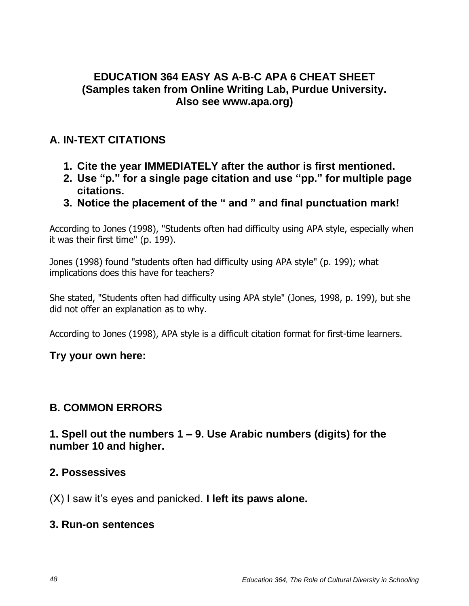## **EDUCATION 364 EASY AS A-B-C APA 6 CHEAT SHEET (Samples taken from Online Writing Lab, Purdue University. Also see www.apa.org)**

## **A. IN-TEXT CITATIONS**

- **1. Cite the year IMMEDIATELY after the author is first mentioned.**
- **2. Use "p." for a single page citation and use "pp." for multiple page citations.**
- **3. Notice the placement of the " and " and final punctuation mark!**

According to Jones (1998), "Students often had difficulty using APA style, especially when it was their first time" (p. 199).

Jones (1998) found "students often had difficulty using APA style" (p. 199); what implications does this have for teachers?

She stated, "Students often had difficulty using APA style" (Jones, 1998, p. 199), but she did not offer an explanation as to why.

According to Jones (1998), APA style is a difficult citation format for first-time learners.

## **Try your own here:**

## **B. COMMON ERRORS**

## **1. Spell out the numbers 1 – 9. Use Arabic numbers (digits) for the number 10 and higher.**

## **2. Possessives**

(X) I saw it's eyes and panicked. **I left its paws alone.**

## **3. Run-on sentences**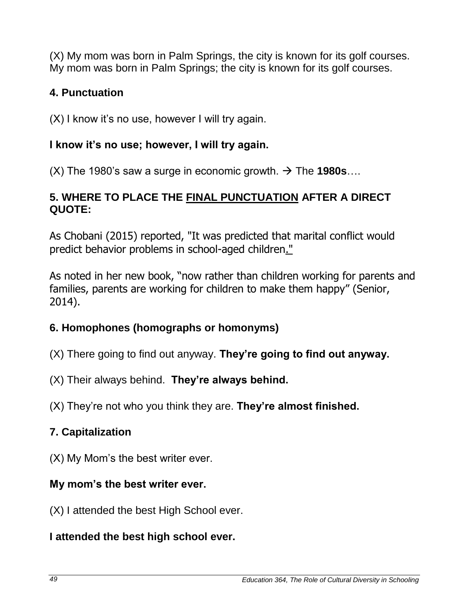(X) My mom was born in Palm Springs, the city is known for its golf courses. My mom was born in Palm Springs; the city is known for its golf courses.

## **4. Punctuation**

(X) I know it's no use, however I will try again.

## **I know it's no use; however, I will try again.**

 $(X)$  The 1980's saw a surge in economic growth.  $\rightarrow$  The 1980s...

## **5. WHERE TO PLACE THE FINAL PUNCTUATION AFTER A DIRECT QUOTE:**

As Chobani (2015) reported, "It was predicted that marital conflict would predict behavior problems in school-aged children."

As noted in her new book, "now rather than children working for parents and families, parents are working for children to make them happy" (Senior, 2014).

## **6. Homophones (homographs or homonyms)**

- (X) There going to find out anyway. **They're going to find out anyway.**
- (X) Their always behind. **They're always behind.**
- (X) They're not who you think they are. **They're almost finished.**

# **7. Capitalization**

(X) My Mom's the best writer ever.

## **My mom's the best writer ever.**

(X) I attended the best High School ever.

## **I attended the best high school ever.**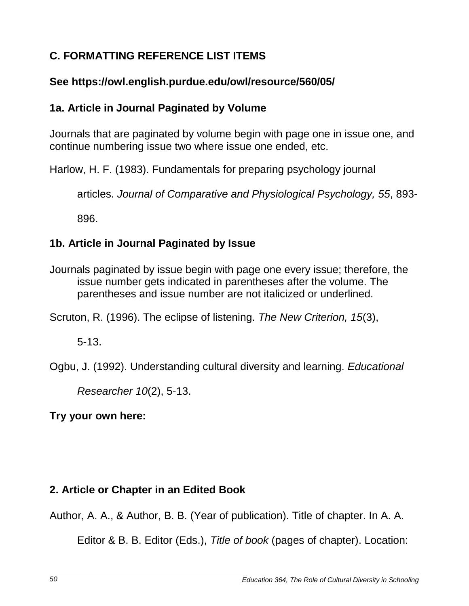# **C. FORMATTING REFERENCE LIST ITEMS**

## **See https://owl.english.purdue.edu/owl/resource/560/05/**

## **1a. Article in Journal Paginated by Volume**

Journals that are paginated by volume begin with page one in issue one, and continue numbering issue two where issue one ended, etc.

Harlow, H. F. (1983). Fundamentals for preparing psychology journal

articles. *Journal of Comparative and Physiological Psychology, 55*, 893-

896.

# **1b. Article in Journal Paginated by Issue**

Journals paginated by issue begin with page one every issue; therefore, the issue number gets indicated in parentheses after the volume. The parentheses and issue number are not italicized or underlined.

Scruton, R. (1996). The eclipse of listening. *The New Criterion, 15*(3),

5-13.

Ogbu, J. (1992). Understanding cultural diversity and learning. *Educational*

*Researcher 10*(2), 5-13.

**Try your own here:** 

# **2. Article or Chapter in an Edited Book**

Author, A. A., & Author, B. B. (Year of publication). Title of chapter. In A. A.

Editor & B. B. Editor (Eds.), *Title of book* (pages of chapter). Location: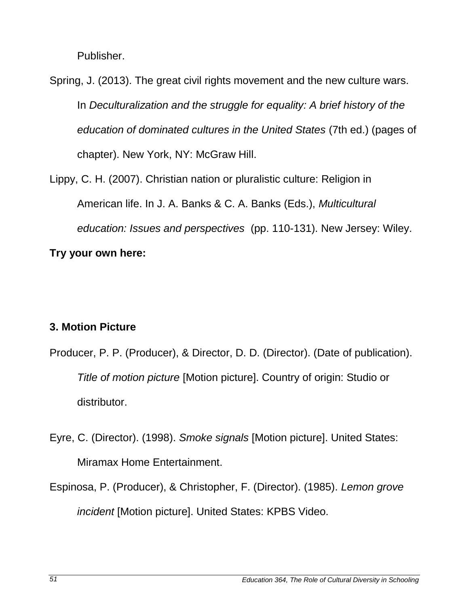Publisher.

Spring, J. (2013). The great civil rights movement and the new culture wars. In *Deculturalization and the struggle for equality: A brief history of the education of dominated cultures in the United States* (7th ed.) (pages of chapter). New York, NY: McGraw Hill.

Lippy, C. H. (2007). Christian nation or pluralistic culture: Religion in American life. In J. A. Banks & C. A. Banks (Eds.), *Multicultural education: Issues and perspectives* (pp. 110-131). New Jersey: Wiley.

## **Try your own here:**

## **3. Motion Picture**

- Producer, P. P. (Producer), & Director, D. D. (Director). (Date of publication). *Title of motion picture* [Motion picture]. Country of origin: Studio or distributor.
- Eyre, C. (Director). (1998). *Smoke signals* [Motion picture]. United States: Miramax Home Entertainment.
- Espinosa, P. (Producer), & Christopher, F. (Director). (1985). *Lemon grove incident* [Motion picture]. United States: KPBS Video.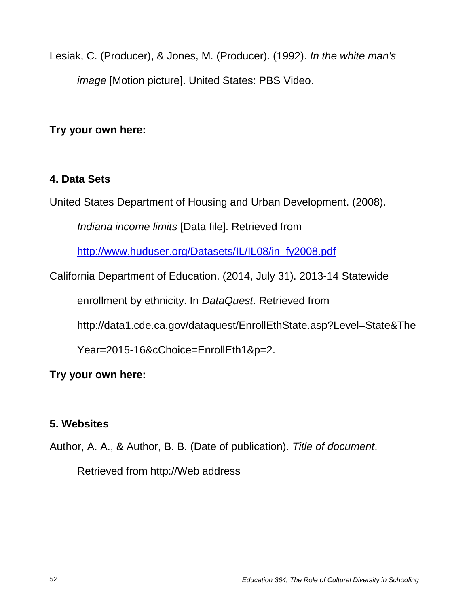Lesiak, C. (Producer), & Jones, M. (Producer). (1992). *In the white man's image* [Motion picture]. United States: PBS Video.

**Try your own here:** 

## **4. Data Sets**

United States Department of Housing and Urban Development. (2008).

*Indiana income limits* [Data file]. Retrieved from

[http://www.huduser.org/Datasets/IL/IL08/in\\_fy2008.pdf](http://www.huduser.org/Datasets/IL/IL08/in_fy2008.pdf)

California Department of Education. (2014, July 31). 2013-14 Statewide

enrollment by ethnicity. In *DataQuest*. Retrieved from

http://data1.cde.ca.gov/dataquest/EnrollEthState.asp?Level=State&The

Year=2015-16&cChoice=EnrollEth1&p=2.

## **Try your own here:**

## **5. Websites**

Author, A. A., & Author, B. B. (Date of publication). *Title of document*.

Retrieved from http://Web address